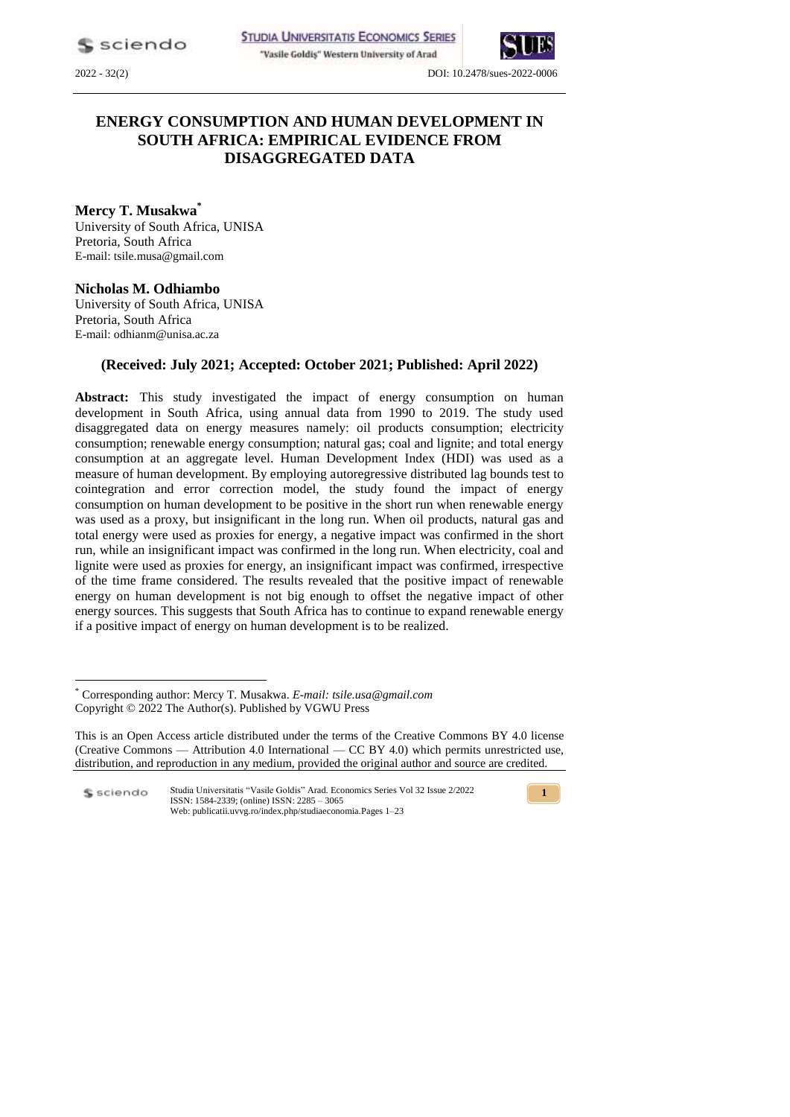"Vasile Goldiş" Western University of Arad



2022 - 32(2) DOI: 10.2478/sues-2022-0006

# **ENERGY CONSUMPTION AND HUMAN DEVELOPMENT IN SOUTH AFRICA: EMPIRICAL EVIDENCE FROM DISAGGREGATED DATA**

**Mercy T. Musakwa\*** University of South Africa, UNISA Pretoria, South Africa E-mail: tsile.musa@gmail.com

# **Nicholas M. Odhiambo**

University of South Africa, UNISA Pretoria, South Africa E-mail: [odhianm@unisa.ac.za](mailto:odhianm@unisa.ac.za%20/%20nmbaya99@yahoo.com) 

# **(Received: July 2021; Accepted: October 2021; Published: April 2022)**

**Abstract:** This study investigated the impact of energy consumption on human development in South Africa, using annual data from 1990 to 2019. The study used disaggregated data on energy measures namely: oil products consumption; electricity consumption; renewable energy consumption; natural gas; coal and lignite; and total energy consumption at an aggregate level. Human Development Index (HDI) was used as a measure of human development. By employing autoregressive distributed lag bounds test to cointegration and error correction model, the study found the impact of energy consumption on human development to be positive in the short run when renewable energy was used as a proxy, but insignificant in the long run. When oil products, natural gas and total energy were used as proxies for energy, a negative impact was confirmed in the short run, while an insignificant impact was confirmed in the long run. When electricity, coal and lignite were used as proxies for energy, an insignificant impact was confirmed, irrespective of the time frame considered. The results revealed that the positive impact of renewable energy on human development is not big enough to offset the negative impact of other energy sources. This suggests that South Africa has to continue to expand renewable energy if a positive impact of energy on human development is to be realized.

Studia Universitatis "Vasile Goldis" Arad. Economics Series Vol 32 Issue 2/2022 \$ sciendo ISSN: 1584-2339; (online) ISSN: 2285 – 3065 Web: publicatii.uvvg.ro/index.php/studiaeconomia.Pages 1–23



<sup>\*</sup> Corresponding author: Mercy T. Musakwa. *E-mail: tsile.usa@gmail.com* Copyright © 2022 The Author(s). Published by VGWU Press

This is an Open Access article distributed under the terms of the Creative Commons BY 4.0 license (Creative Commons — Attribution 4.0 International — CC BY 4.0) which permits unrestricted use, distribution, and reproduction in any medium, provided the original author and source are credited.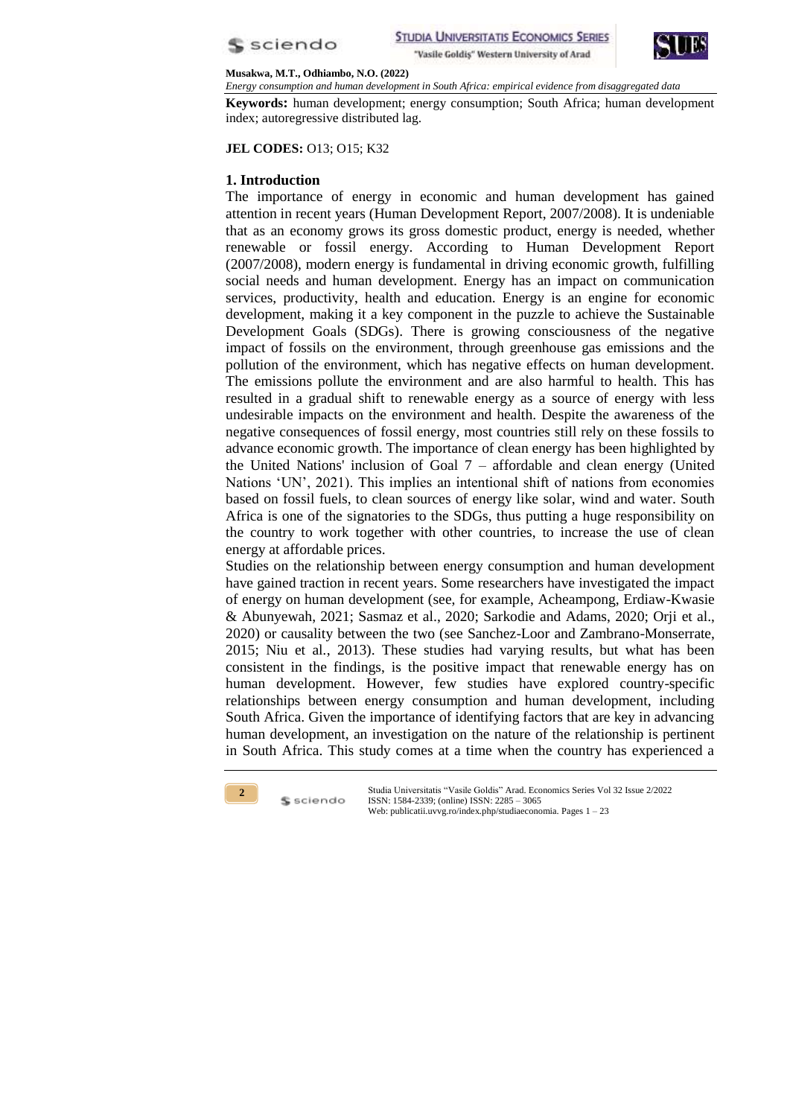



*Energy consumption and human development in South Africa: empirical evidence from disaggregated data*

**Keywords:** human development; energy consumption; South Africa; human development index; autoregressive distributed lag.

**JEL CODES:** O13; O15; K32

## **1. Introduction**

The importance of energy in economic and human development has gained attention in recent years (Human Development Report, 2007/2008). It is undeniable that as an economy grows its gross domestic product, energy is needed, whether renewable or fossil energy. According to Human Development Report (2007/2008), modern energy is fundamental in driving economic growth, fulfilling social needs and human development. Energy has an impact on communication services, productivity, health and education. Energy is an engine for economic development, making it a key component in the puzzle to achieve the Sustainable Development Goals (SDGs). There is growing consciousness of the negative impact of fossils on the environment, through greenhouse gas emissions and the pollution of the environment, which has negative effects on human development. The emissions pollute the environment and are also harmful to health. This has resulted in a gradual shift to renewable energy as a source of energy with less undesirable impacts on the environment and health. Despite the awareness of the negative consequences of fossil energy, most countries still rely on these fossils to advance economic growth. The importance of clean energy has been highlighted by the United Nations' inclusion of Goal  $7$  – affordable and clean energy (United Nations 'UN', 2021). This implies an intentional shift of nations from economies based on fossil fuels, to clean sources of energy like solar, wind and water. South Africa is one of the signatories to the SDGs, thus putting a huge responsibility on the country to work together with other countries, to increase the use of clean energy at affordable prices.

Studies on the relationship between energy consumption and human development have gained traction in recent years. Some researchers have investigated the impact of energy on human development (see, for example, Acheampong, Erdiaw-Kwasie & Abunyewah, 2021; Sasmaz et al., 2020; Sarkodie and Adams, 2020; Orji et al., 2020) or causality between the two (see Sanchez-Loor and Zambrano-Monserrate, 2015; Niu et al*.*, 2013). These studies had varying results, but what has been consistent in the findings, is the positive impact that renewable energy has on human development. However, few studies have explored country-specific relationships between energy consumption and human development, including South Africa. Given the importance of identifying factors that are key in advancing human development, an investigation on the nature of the relationship is pertinent in South Africa. This study comes at a time when the country has experienced a



\$ sciendo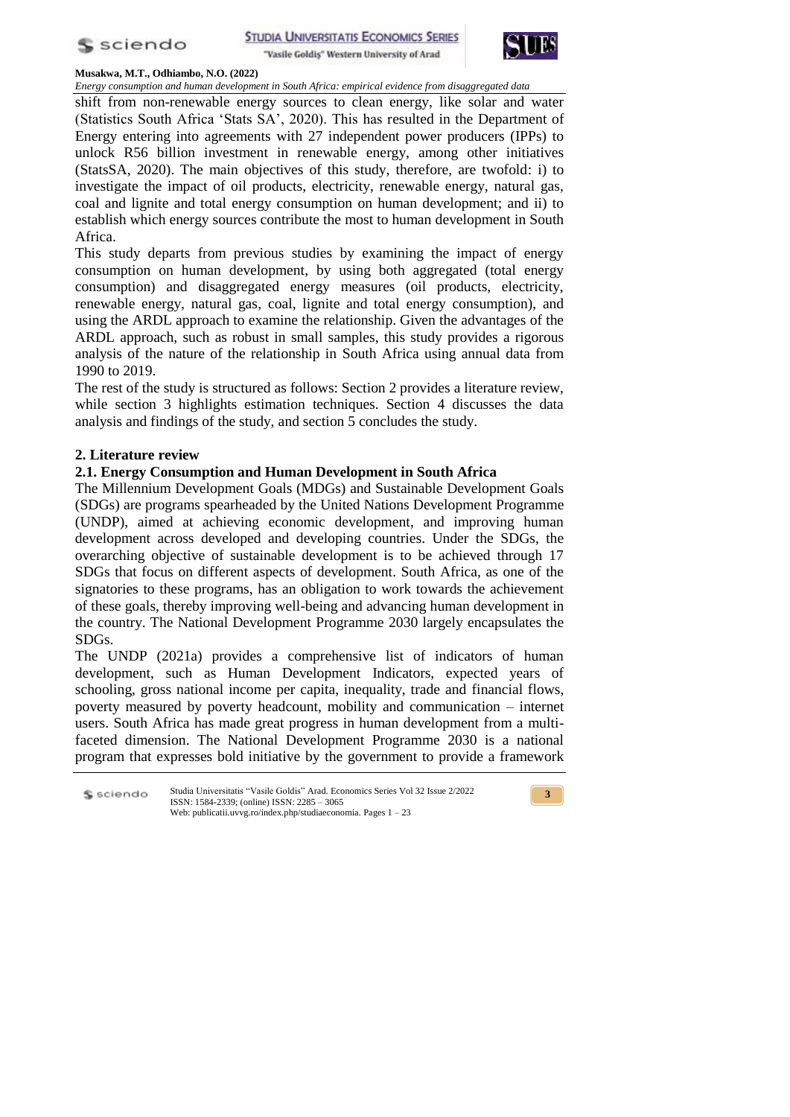



*Energy consumption and human development in South Africa: empirical evidence from disaggregated data* shift from non-renewable energy sources to clean energy, like solar and water (Statistics South Africa 'Stats SA', 2020). This has resulted in the Department of Energy entering into agreements with 27 independent power producers (IPPs) to unlock R56 billion investment in renewable energy, among other initiatives (StatsSA, 2020). The main objectives of this study, therefore, are twofold: i) to investigate the impact of oil products, electricity, renewable energy, natural gas, coal and lignite and total energy consumption on human development; and ii) to establish which energy sources contribute the most to human development in South Africa.

This study departs from previous studies by examining the impact of energy consumption on human development, by using both aggregated (total energy consumption) and disaggregated energy measures (oil products, electricity, renewable energy, natural gas, coal, lignite and total energy consumption), and using the ARDL approach to examine the relationship. Given the advantages of the ARDL approach, such as robust in small samples, this study provides a rigorous analysis of the nature of the relationship in South Africa using annual data from 1990 to 2019.

The rest of the study is structured as follows: Section 2 provides a literature review, while section 3 highlights estimation techniques. Section 4 discusses the data analysis and findings of the study, and section 5 concludes the study.

# **2. Literature review**

# **2.1. Energy Consumption and Human Development in South Africa**

The Millennium Development Goals (MDGs) and Sustainable Development Goals (SDGs) are programs spearheaded by the United Nations Development Programme (UNDP), aimed at achieving economic development, and improving human development across developed and developing countries. Under the SDGs, the overarching objective of sustainable development is to be achieved through 17 SDGs that focus on different aspects of development. South Africa, as one of the signatories to these programs, has an obligation to work towards the achievement of these goals, thereby improving well-being and advancing human development in the country. The National Development Programme 2030 largely encapsulates the SDGs.

The UNDP (2021a) provides a comprehensive list of indicators of human development, such as Human Development Indicators, expected years of schooling, gross national income per capita, inequality, trade and financial flows, poverty measured by poverty headcount, mobility and communication – internet users. South Africa has made great progress in human development from a multifaceted dimension. The National Development Programme 2030 is a national program that expresses bold initiative by the government to provide a framework

Studia Universitatis "Vasile Goldis" Arad. Economics Series Vol 32 Issue 2/2022 S sciendo ISSN: 1584-2339; (online) ISSN: 2285 – 3065 Web: publicatii.uvvg.ro/index.php/studiaeconomia. Pages 1 – 23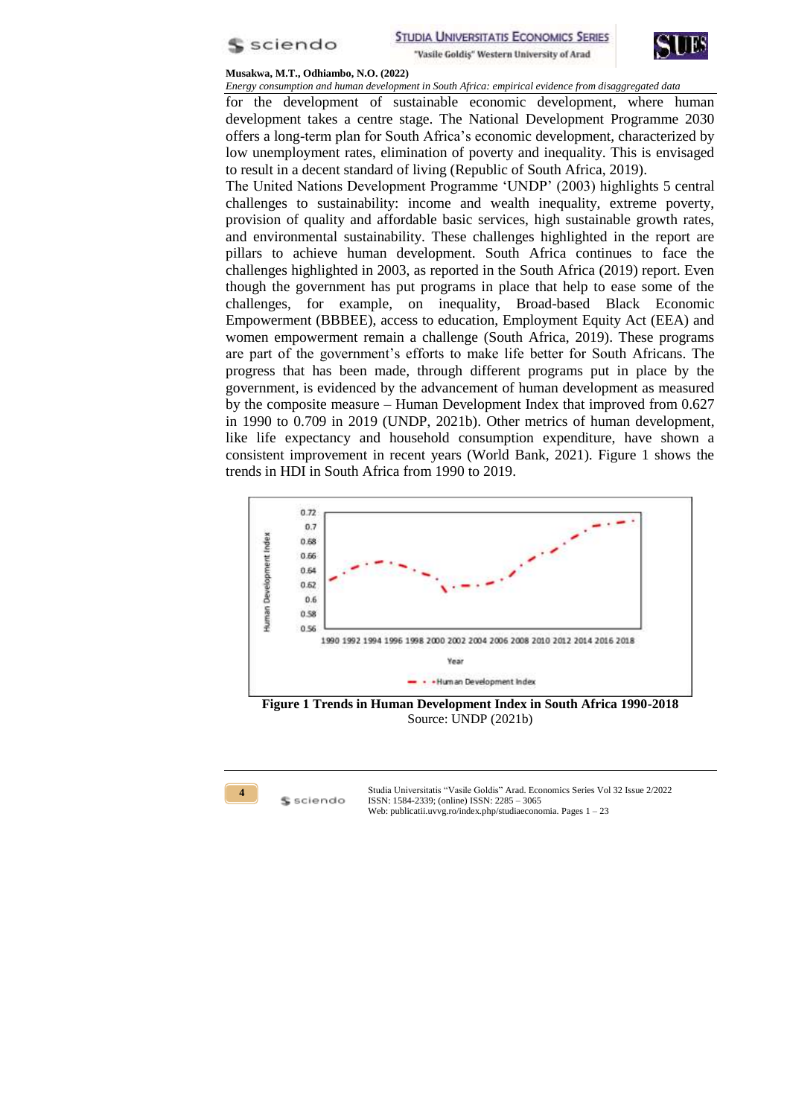



*Energy consumption and human development in South Africa: empirical evidence from disaggregated data* for the development of sustainable economic development, where human

development takes a centre stage. The National Development Programme 2030 offers a long-term plan for South Africa's economic development, characterized by low unemployment rates, elimination of poverty and inequality. This is envisaged to result in a decent standard of living (Republic of South Africa, 2019).

The United Nations Development Programme 'UNDP' (2003) highlights 5 central challenges to sustainability: income and wealth inequality, extreme poverty, provision of quality and affordable basic services, high sustainable growth rates, and environmental sustainability. These challenges highlighted in the report are pillars to achieve human development. South Africa continues to face the challenges highlighted in 2003, as reported in the South Africa (2019) report. Even though the government has put programs in place that help to ease some of the challenges, for example, on inequality, Broad-based Black Economic Empowerment (BBBEE), access to education, Employment Equity Act (EEA) and women empowerment remain a challenge (South Africa, 2019). These programs are part of the government's efforts to make life better for South Africans. The progress that has been made, through different programs put in place by the government, is evidenced by the advancement of human development as measured by the composite measure – Human Development Index that improved from 0.627 in 1990 to 0.709 in 2019 (UNDP, 2021b). Other metrics of human development, like life expectancy and household consumption expenditure, have shown a consistent improvement in recent years (World Bank, 2021). Figure 1 shows the trends in HDI in South Africa from 1990 to 2019.



**Figure 1 Trends in Human Development Index in South Africa 1990-2018** Source: UNDP (2021b)



**\$** sciendo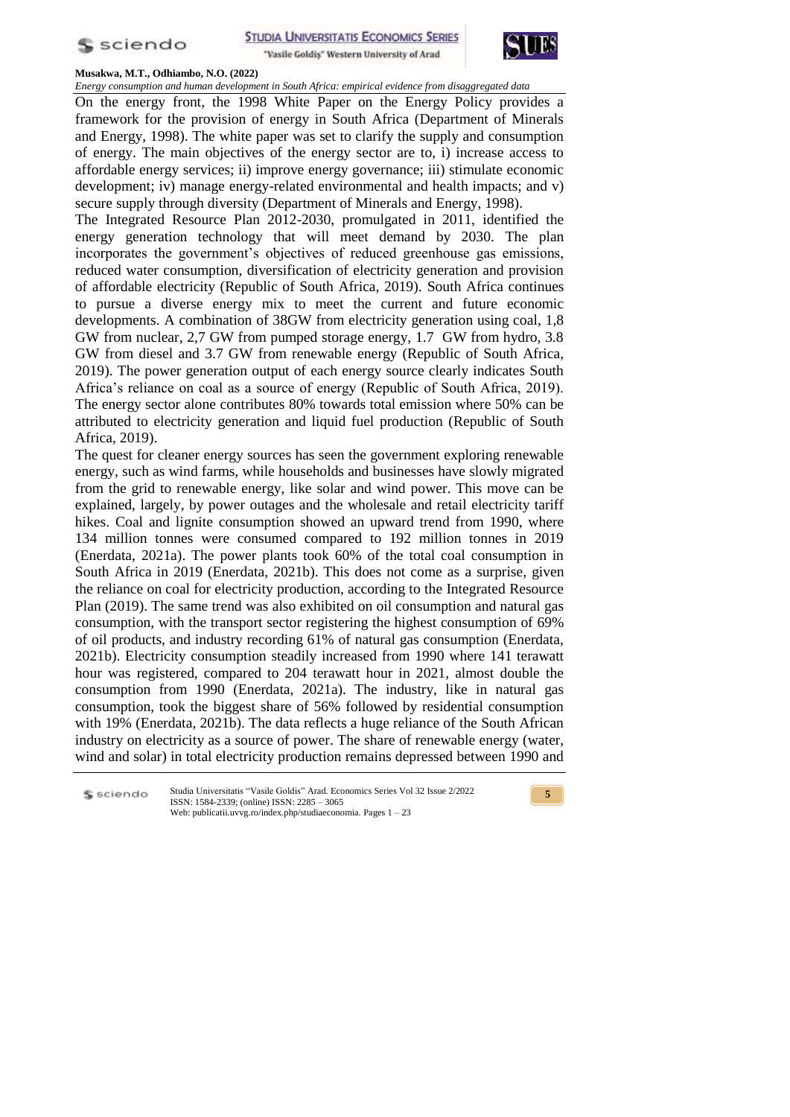



*Energy consumption and human development in South Africa: empirical evidence from disaggregated data*

On the energy front, the 1998 White Paper on the Energy Policy provides a framework for the provision of energy in South Africa (Department of Minerals and Energy, 1998). The white paper was set to clarify the supply and consumption of energy. The main objectives of the energy sector are to, i) increase access to affordable energy services; ii) improve energy governance; iii) stimulate economic development; iv) manage energy-related environmental and health impacts; and v) secure supply through diversity (Department of Minerals and Energy, 1998).

The Integrated Resource Plan 2012-2030, promulgated in 2011, identified the energy generation technology that will meet demand by 2030. The plan incorporates the government's objectives of reduced greenhouse gas emissions, reduced water consumption, diversification of electricity generation and provision of affordable electricity (Republic of South Africa, 2019). South Africa continues to pursue a diverse energy mix to meet the current and future economic developments. A combination of 38GW from electricity generation using coal, 1,8 GW from nuclear, 2,7 GW from pumped storage energy, 1.7 GW from hydro, 3.8 GW from diesel and 3.7 GW from renewable energy (Republic of South Africa, 2019). The power generation output of each energy source clearly indicates South Africa's reliance on coal as a source of energy (Republic of South Africa, 2019). The energy sector alone contributes 80% towards total emission where 50% can be attributed to electricity generation and liquid fuel production (Republic of South Africa, 2019).

The quest for cleaner energy sources has seen the government exploring renewable energy, such as wind farms, while households and businesses have slowly migrated from the grid to renewable energy, like solar and wind power. This move can be explained, largely, by power outages and the wholesale and retail electricity tariff hikes. Coal and lignite consumption showed an upward trend from 1990, where 134 million tonnes were consumed compared to 192 million tonnes in 2019 (Enerdata, 2021a). The power plants took 60% of the total coal consumption in South Africa in 2019 (Enerdata, 2021b). This does not come as a surprise, given the reliance on coal for electricity production, according to the Integrated Resource Plan (2019). The same trend was also exhibited on oil consumption and natural gas consumption, with the transport sector registering the highest consumption of 69% of oil products, and industry recording 61% of natural gas consumption (Enerdata, 2021b). Electricity consumption steadily increased from 1990 where 141 terawatt hour was registered, compared to 204 terawatt hour in 2021, almost double the consumption from 1990 (Enerdata, 2021a). The industry, like in natural gas consumption, took the biggest share of 56% followed by residential consumption with 19% (Enerdata, 2021b). The data reflects a huge reliance of the South African industry on electricity as a source of power. The share of renewable energy (water, wind and solar) in total electricity production remains depressed between 1990 and

Studia Universitatis "Vasile Goldis" Arad. Economics Series Vol 32 Issue 2/2022 S sciendo ISSN: 1584-2339; (online) ISSN: 2285 – 3065 Web: publicatii.uvvg.ro/index.php/studiaeconomia. Pages 1 – 23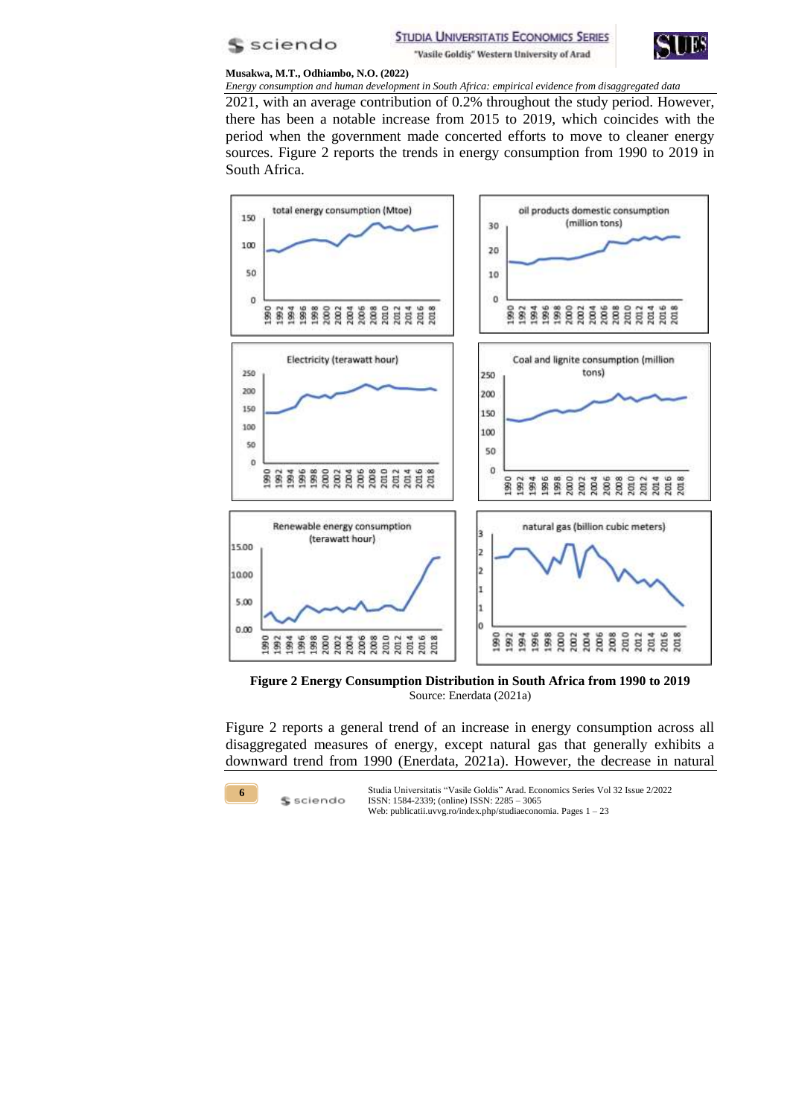



*Energy consumption and human development in South Africa: empirical evidence from disaggregated data* 2021, with an average contribution of 0.2% throughout the study period. However, there has been a notable increase from 2015 to 2019, which coincides with the period when the government made concerted efforts to move to cleaner energy sources. Figure 2 reports the trends in energy consumption from 1990 to 2019 in South Africa.



**Figure 2 Energy Consumption Distribution in South Africa from 1990 to 2019** Source: Enerdata (2021a)

Figure 2 reports a general trend of an increase in energy consumption across all disaggregated measures of energy, except natural gas that generally exhibits a downward trend from 1990 (Enerdata, 2021a). However, the decrease in natural



\$ sciendo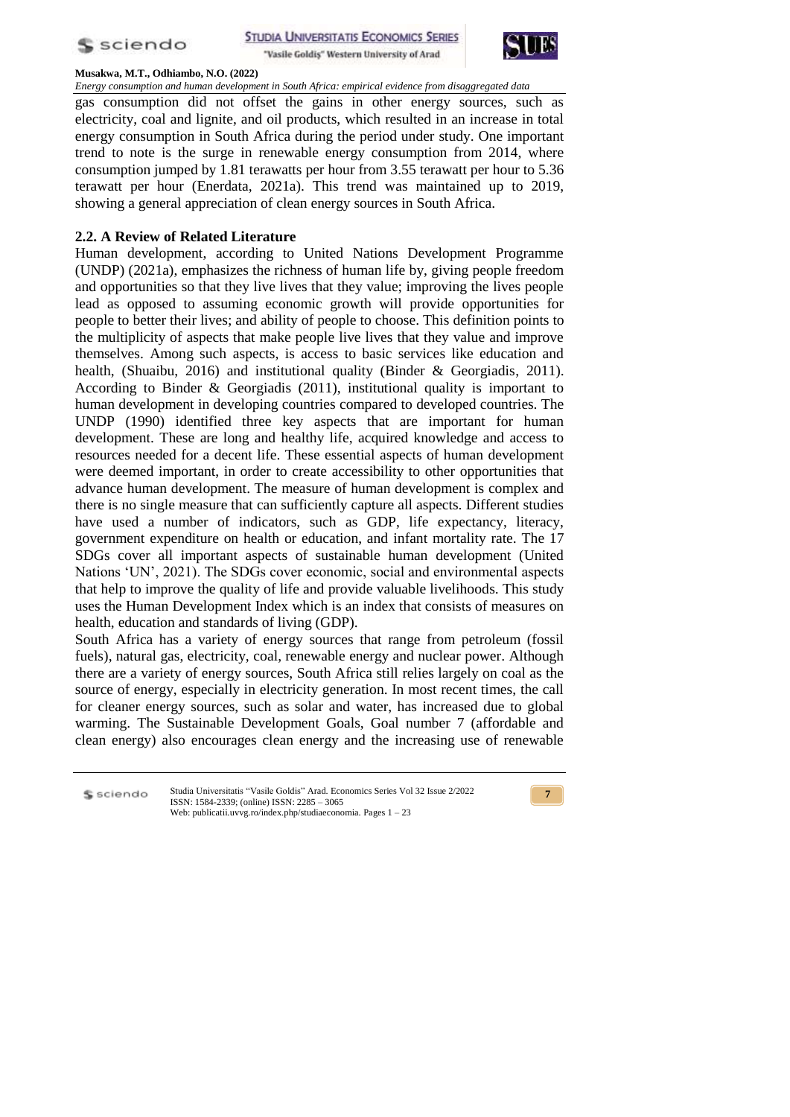



*Energy consumption and human development in South Africa: empirical evidence from disaggregated data* gas consumption did not offset the gains in other energy sources, such as electricity, coal and lignite, and oil products, which resulted in an increase in total energy consumption in South Africa during the period under study. One important trend to note is the surge in renewable energy consumption from 2014, where consumption jumped by 1.81 terawatts per hour from 3.55 terawatt per hour to 5.36 terawatt per hour (Enerdata, 2021a). This trend was maintained up to 2019, showing a general appreciation of clean energy sources in South Africa.

## **2.2. A Review of Related Literature**

Human development, according to United Nations Development Programme (UNDP) (2021a), emphasizes the richness of human life by, giving people freedom and opportunities so that they live lives that they value; improving the lives people lead as opposed to assuming economic growth will provide opportunities for people to better their lives; and ability of people to choose. This definition points to the multiplicity of aspects that make people live lives that they value and improve themselves. Among such aspects, is access to basic services like education and health, (Shuaibu, 2016) and institutional quality (Binder & Georgiadis, 2011). According to Binder & Georgiadis (2011), institutional quality is important to human development in developing countries compared to developed countries. The UNDP (1990) identified three key aspects that are important for human development. These are long and healthy life, acquired knowledge and access to resources needed for a decent life. These essential aspects of human development were deemed important, in order to create accessibility to other opportunities that advance human development. The measure of human development is complex and there is no single measure that can sufficiently capture all aspects. Different studies have used a number of indicators, such as GDP, life expectancy, literacy, government expenditure on health or education, and infant mortality rate. The 17 SDGs cover all important aspects of sustainable human development (United Nations ‗UN', 2021). The SDGs cover economic, social and environmental aspects that help to improve the quality of life and provide valuable livelihoods. This study uses the Human Development Index which is an index that consists of measures on health, education and standards of living (GDP).

South Africa has a variety of energy sources that range from petroleum (fossil fuels), natural gas, electricity, coal, renewable energy and nuclear power. Although there are a variety of energy sources, South Africa still relies largely on coal as the source of energy, especially in electricity generation. In most recent times, the call for cleaner energy sources, such as solar and water, has increased due to global warming. The Sustainable Development Goals, Goal number 7 (affordable and clean energy) also encourages clean energy and the increasing use of renewable

S sciendo

Studia Universitatis "Vasile Goldis" Arad. Economics Series Vol 32 Issue 2/2022 ISSN: 1584-2339; (online) ISSN: 2285 – 3065 Web: publicatii.uvvg.ro/index.php/studiaeconomia. Pages 1 – 23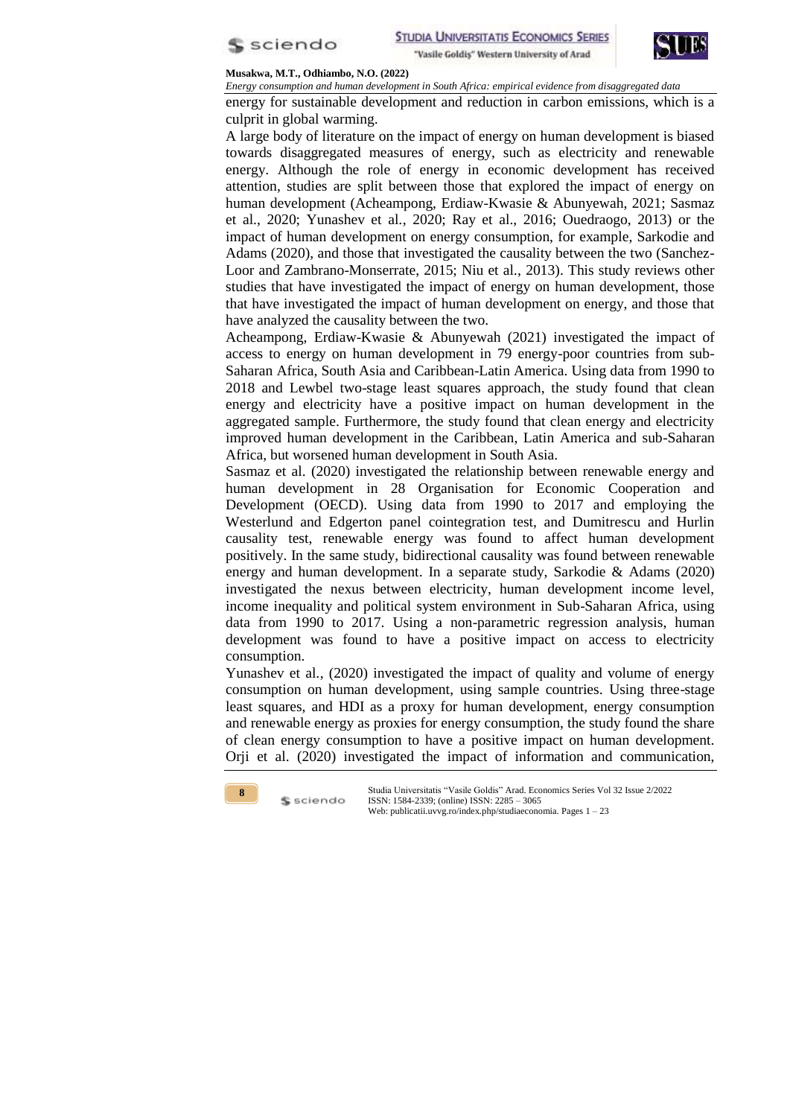



*Energy consumption and human development in South Africa: empirical evidence from disaggregated data*

energy for sustainable development and reduction in carbon emissions, which is a culprit in global warming.

A large body of literature on the impact of energy on human development is biased towards disaggregated measures of energy, such as electricity and renewable energy. Although the role of energy in economic development has received attention, studies are split between those that explored the impact of energy on human development (Acheampong, Erdiaw-Kwasie & Abunyewah, 2021; Sasmaz et al., 2020; Yunashev et al*.*, 2020; Ray et al., 2016; Ouedraogo, 2013) or the impact of human development on energy consumption, for example, Sarkodie and Adams (2020), and those that investigated the causality between the two (Sanchez-Loor and Zambrano-Monserrate, 2015; Niu et al*.*, 2013). This study reviews other studies that have investigated the impact of energy on human development, those that have investigated the impact of human development on energy, and those that have analyzed the causality between the two.

Acheampong, Erdiaw-Kwasie & Abunyewah (2021) investigated the impact of access to energy on human development in 79 energy-poor countries from sub-Saharan Africa, South Asia and Caribbean-Latin America. Using data from 1990 to 2018 and Lewbel two-stage least squares approach, the study found that clean energy and electricity have a positive impact on human development in the aggregated sample. Furthermore, the study found that clean energy and electricity improved human development in the Caribbean, Latin America and sub-Saharan Africa, but worsened human development in South Asia.

Sasmaz et al. (2020) investigated the relationship between renewable energy and human development in 28 Organisation for Economic Cooperation and Development (OECD). Using data from 1990 to 2017 and employing the Westerlund and Edgerton panel cointegration test, and Dumitrescu and Hurlin causality test, renewable energy was found to affect human development positively. In the same study, bidirectional causality was found between renewable energy and human development. In a separate study, Sarkodie & Adams (2020) investigated the nexus between electricity, human development income level, income inequality and political system environment in Sub-Saharan Africa, using data from 1990 to 2017. Using a non-parametric regression analysis, human development was found to have a positive impact on access to electricity consumption.

Yunashev et al., (2020) investigated the impact of quality and volume of energy consumption on human development, using sample countries. Using three-stage least squares, and HDI as a proxy for human development, energy consumption and renewable energy as proxies for energy consumption, the study found the share of clean energy consumption to have a positive impact on human development. Orji et al. (2020) investigated the impact of information and communication,



S sciendo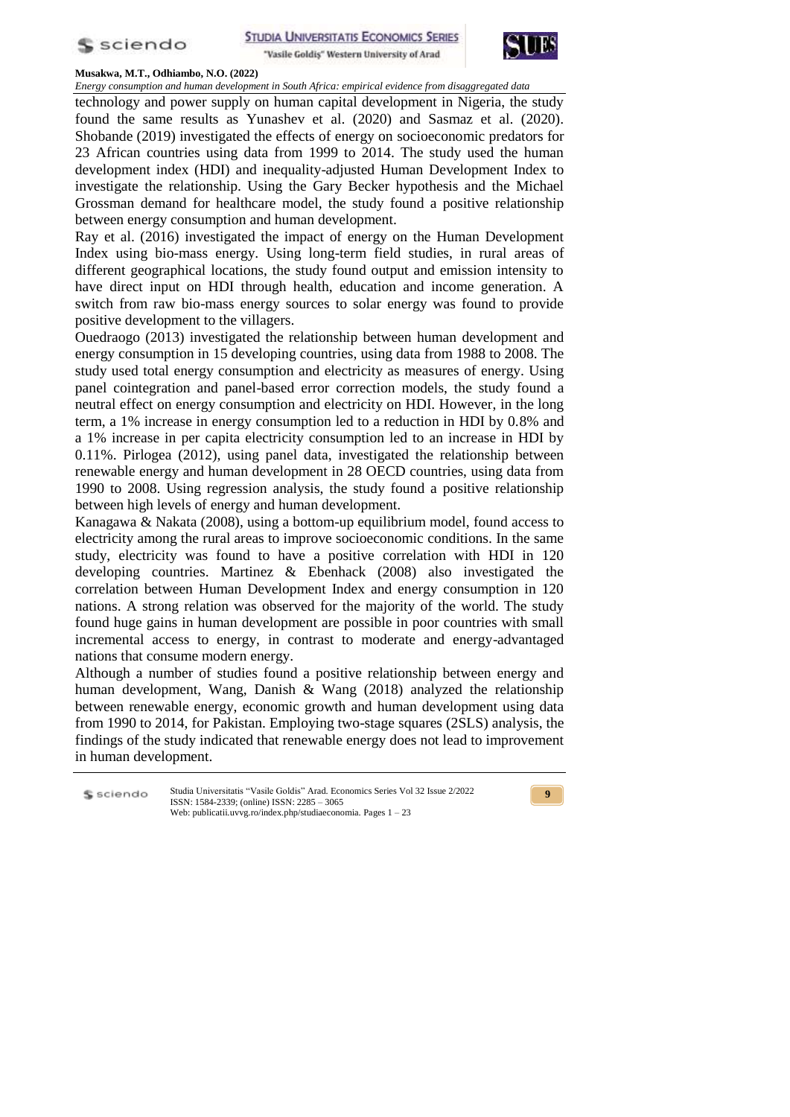



*Energy consumption and human development in South Africa: empirical evidence from disaggregated data*

technology and power supply on human capital development in Nigeria, the study found the same results as Yunashev et al. (2020) and Sasmaz et al. (2020). Shobande (2019) investigated the effects of energy on socioeconomic predators for 23 African countries using data from 1999 to 2014. The study used the human development index (HDI) and inequality-adjusted Human Development Index to investigate the relationship. Using the Gary Becker hypothesis and the Michael Grossman demand for healthcare model, the study found a positive relationship between energy consumption and human development.

Ray et al. (2016) investigated the impact of energy on the Human Development Index using bio-mass energy. Using long-term field studies, in rural areas of different geographical locations, the study found output and emission intensity to have direct input on HDI through health, education and income generation. A switch from raw bio-mass energy sources to solar energy was found to provide positive development to the villagers.

Ouedraogo (2013) investigated the relationship between human development and energy consumption in 15 developing countries, using data from 1988 to 2008. The study used total energy consumption and electricity as measures of energy. Using panel cointegration and panel-based error correction models, the study found a neutral effect on energy consumption and electricity on HDI. However, in the long term, a 1% increase in energy consumption led to a reduction in HDI by 0.8% and a 1% increase in per capita electricity consumption led to an increase in HDI by 0.11%. Pirlogea (2012), using panel data, investigated the relationship between renewable energy and human development in 28 OECD countries, using data from 1990 to 2008. Using regression analysis, the study found a positive relationship between high levels of energy and human development.

Kanagawa & Nakata (2008), using a bottom-up equilibrium model, found access to electricity among the rural areas to improve socioeconomic conditions. In the same study, electricity was found to have a positive correlation with HDI in 120 developing countries. Martinez & Ebenhack (2008) also investigated the correlation between Human Development Index and energy consumption in 120 nations. A strong relation was observed for the majority of the world. The study found huge gains in human development are possible in poor countries with small incremental access to energy, in contrast to moderate and energy-advantaged nations that consume modern energy.

Although a number of studies found a positive relationship between energy and human development, Wang, Danish & Wang (2018) analyzed the relationship between renewable energy, economic growth and human development using data from 1990 to 2014, for Pakistan. Employing two-stage squares (2SLS) analysis, the findings of the study indicated that renewable energy does not lead to improvement in human development.

Studia Universitatis "Vasile Goldis" Arad. Economics Series Vol 32 Issue 2/2022 S sciendo ISSN: 1584-2339; (online) ISSN: 2285 – 3065 Web: publicatii.uvvg.ro/index.php/studiaeconomia. Pages 1 – 23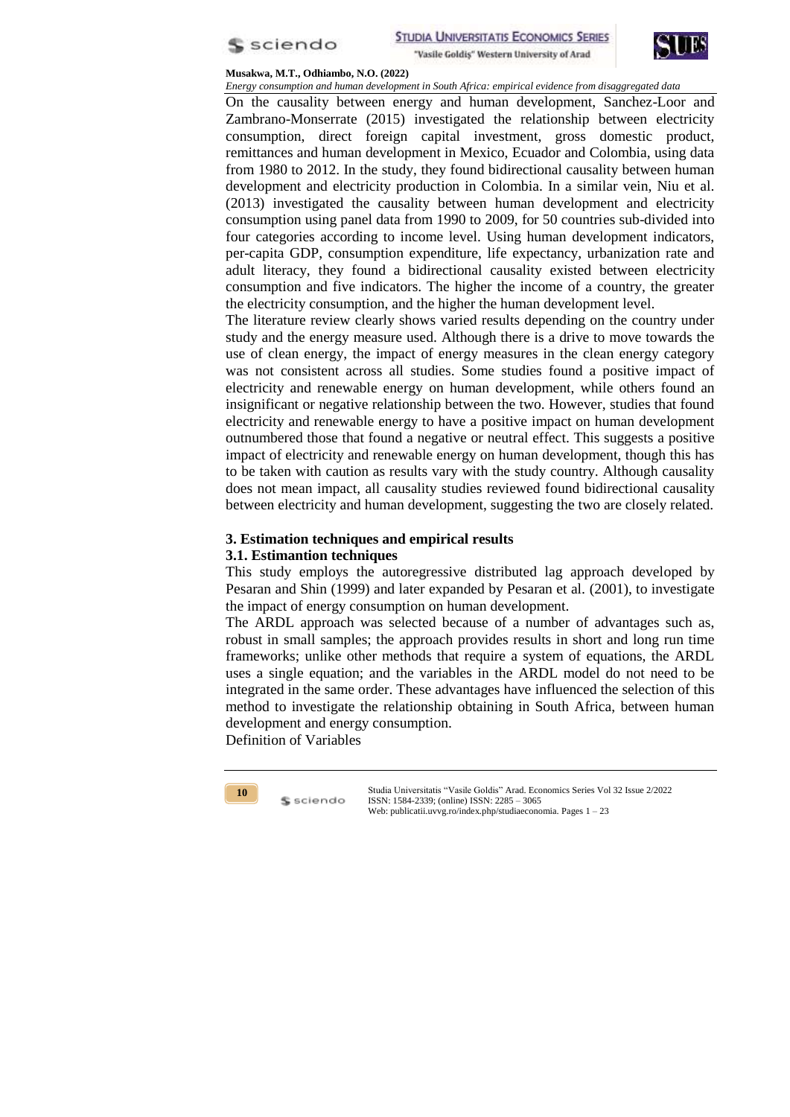



*Energy consumption and human development in South Africa: empirical evidence from disaggregated data* On the causality between energy and human development, Sanchez-Loor and Zambrano-Monserrate (2015) investigated the relationship between electricity consumption, direct foreign capital investment, gross domestic product, remittances and human development in Mexico, Ecuador and Colombia, using data from 1980 to 2012. In the study, they found bidirectional causality between human development and electricity production in Colombia. In a similar vein, Niu et al. (2013) investigated the causality between human development and electricity consumption using panel data from 1990 to 2009, for 50 countries sub-divided into four categories according to income level. Using human development indicators, per-capita GDP, consumption expenditure, life expectancy, urbanization rate and adult literacy, they found a bidirectional causality existed between electricity consumption and five indicators. The higher the income of a country, the greater the electricity consumption, and the higher the human development level.

The literature review clearly shows varied results depending on the country under study and the energy measure used. Although there is a drive to move towards the use of clean energy, the impact of energy measures in the clean energy category was not consistent across all studies. Some studies found a positive impact of electricity and renewable energy on human development, while others found an insignificant or negative relationship between the two. However, studies that found electricity and renewable energy to have a positive impact on human development outnumbered those that found a negative or neutral effect. This suggests a positive impact of electricity and renewable energy on human development, though this has to be taken with caution as results vary with the study country. Although causality does not mean impact, all causality studies reviewed found bidirectional causality between electricity and human development, suggesting the two are closely related.

## **3. Estimation techniques and empirical results**

## **3.1. Estimantion techniques**

This study employs the autoregressive distributed lag approach developed by Pesaran and Shin (1999) and later expanded by Pesaran et al*.* (2001), to investigate the impact of energy consumption on human development.

The ARDL approach was selected because of a number of advantages such as, robust in small samples; the approach provides results in short and long run time frameworks; unlike other methods that require a system of equations, the ARDL uses a single equation; and the variables in the ARDL model do not need to be integrated in the same order. These advantages have influenced the selection of this method to investigate the relationship obtaining in South Africa, between human development and energy consumption.

Definition of Variables

S sciendo

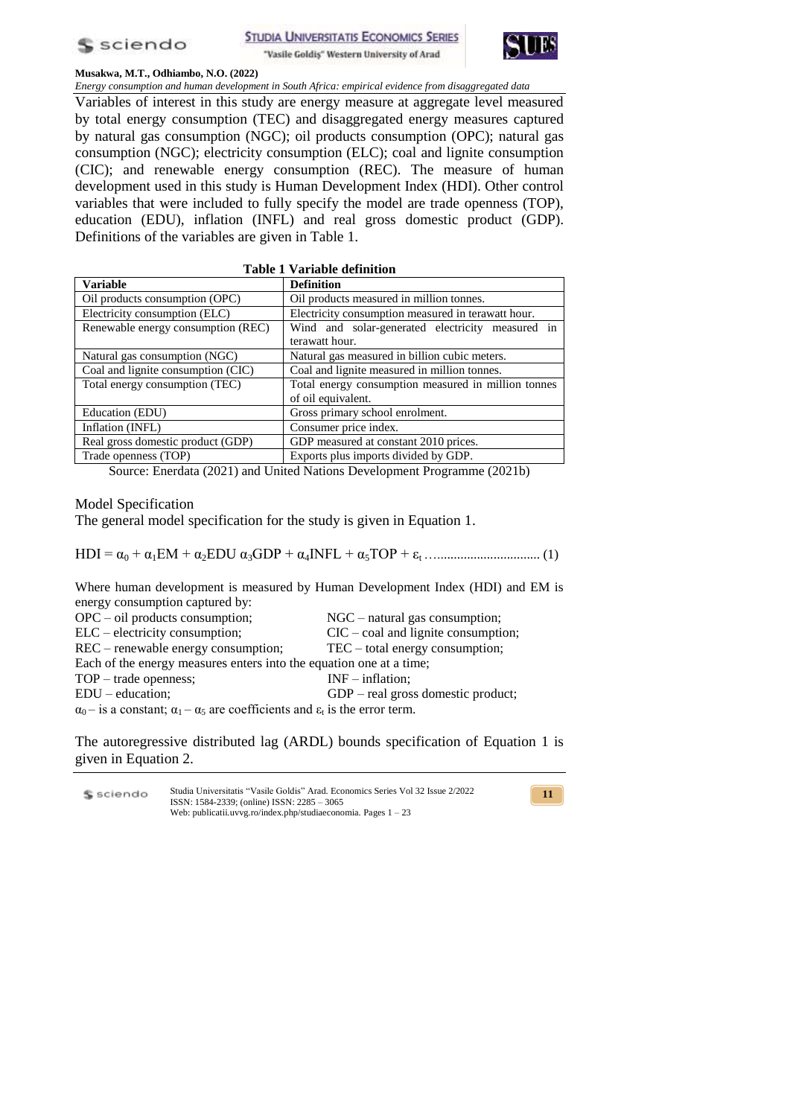



*Energy consumption and human development in South Africa: empirical evidence from disaggregated data* Variables of interest in this study are energy measure at aggregate level measured by total energy consumption (TEC) and disaggregated energy measures captured by natural gas consumption (NGC); oil products consumption (OPC); natural gas consumption (NGC); electricity consumption (ELC); coal and lignite consumption (CIC); and renewable energy consumption (REC). The measure of human development used in this study is Human Development Index (HDI). Other control variables that were included to fully specify the model are trade openness (TOP), education (EDU), inflation (INFL) and real gross domestic product (GDP). Definitions of the variables are given in Table 1.

|                                    | <b>Table 1 Variable definition</b>                  |
|------------------------------------|-----------------------------------------------------|
| <b>Variable</b>                    | <b>Definition</b>                                   |
| Oil products consumption (OPC)     | Oil products measured in million tonnes.            |
| Electricity consumption (ELC)      | Electricity consumption measured in terawatt hour.  |
| Renewable energy consumption (REC) | Wind and solar-generated electricity measured in    |
|                                    | terawatt hour.                                      |
| Natural gas consumption (NGC)      | Natural gas measured in billion cubic meters.       |
| Coal and lignite consumption (CIC) | Coal and lignite measured in million tonnes.        |
| Total energy consumption (TEC)     | Total energy consumption measured in million tonnes |
|                                    | of oil equivalent.                                  |
| Education (EDU)                    | Gross primary school enrolment.                     |
| Inflation (INFL)                   | Consumer price index.                               |
| Real gross domestic product (GDP)  | GDP measured at constant 2010 prices.               |
| Trade openness (TOP)               | Exports plus imports divided by GDP.                |

Source: Enerdata (2021) and United Nations Development Programme (2021b)

Model Specification

The general model specification for the study is given in Equation 1.

HDI = α<sup>0</sup> + α1EM + α2EDU α3GDP + α4INFL + α5TOP + ε<sup>t</sup> …............................... (1)

Where human development is measured by Human Development Index (HDI) and EM is energy consumption captured by:

| $OPC - oil$ products consumption;                                                                           | $NGC$ – natural gas consumption;      |
|-------------------------------------------------------------------------------------------------------------|---------------------------------------|
| $ELC$ – electricity consumption;                                                                            | $CIC - coal$ and lignite consumption; |
| $REC$ – renewable energy consumption;                                                                       | $TEC - total energy consumption;$     |
| Each of the energy measures enters into the equation one at a time;                                         |                                       |
| $TOP - trade\ openness;$                                                                                    | $INF$ – inflation:                    |
| $EDU - education;$                                                                                          | $GDP - real gross domestic product;$  |
| $\alpha_0$ – is a constant; $\alpha_1$ – $\alpha_5$ are coefficients and $\varepsilon_t$ is the error term. |                                       |

The autoregressive distributed lag (ARDL) bounds specification of Equation 1 is given in Equation 2.

Studia Universitatis "Vasile Goldis" Arad. Economics Series Vol 32 Issue 2/2022 S sciendo ISSN: 1584-2339; (online) ISSN: 2285 – 3065 Web: publicatii.uvvg.ro/index.php/studiaeconomia. Pages 1 – 23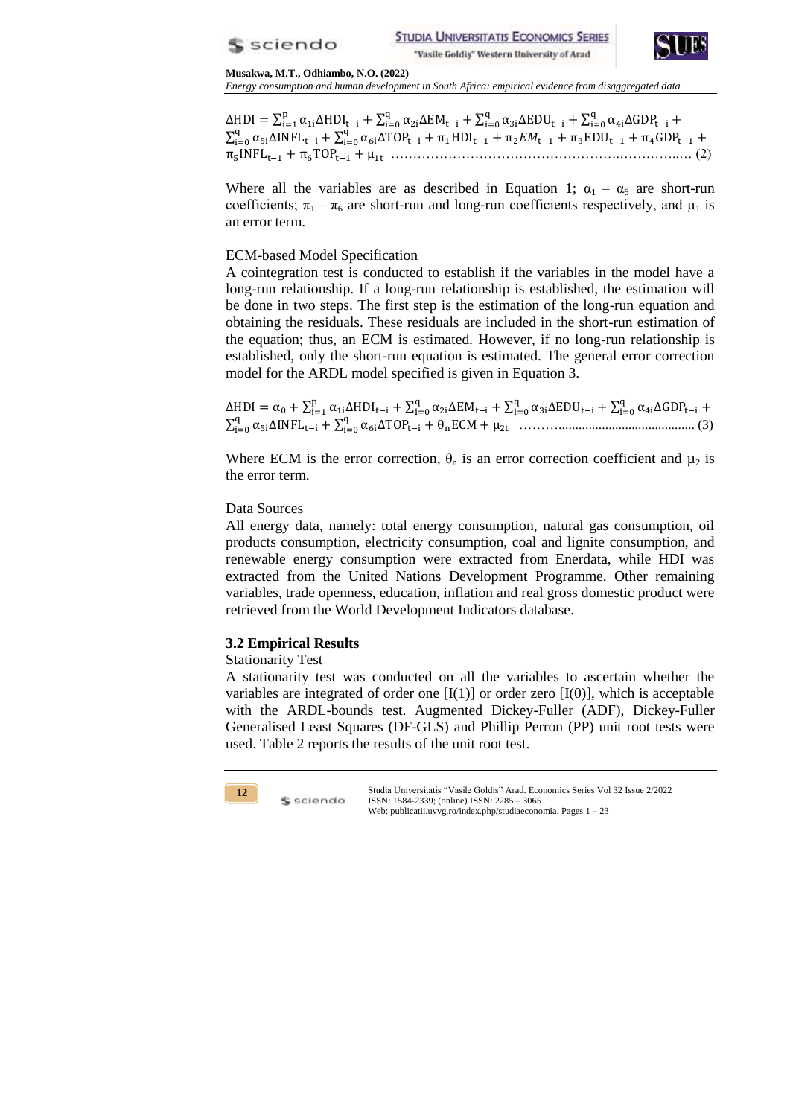



*Energy consumption and human development in South Africa: empirical evidence from disaggregated data*

ΔHDI =  $\sum_{i=1}^{p} \alpha_{1i}$ ΔHDI<sub>t-i</sub> +  $\sum_{i=0}^{q} \alpha_{2i}$ ΔEM<sub>t-i</sub> +  $\sum_{i=0}^{q} \alpha_{3i}$ ΔEDU<sub>t-i</sub> +  $\sum_{i=0}^{q} \alpha$ j  $\sum_{i=0}^{q} \alpha_{5i} \Delta INFL_{t-i} + \sum_{i=0}^{q} \alpha$ i …………………………………………….…………..… (2)

Where all the variables are as described in Equation 1;  $\alpha_1 - \alpha_6$  are short-run coefficients;  $\pi_1 - \pi_6$  are short-run and long-run coefficients respectively, and  $\mu_1$  is an error term.

# ECM-based Model Specification

A cointegration test is conducted to establish if the variables in the model have a long-run relationship. If a long-run relationship is established, the estimation will be done in two steps. The first step is the estimation of the long-run equation and obtaining the residuals. These residuals are included in the short-run estimation of the equation; thus, an ECM is estimated. However, if no long-run relationship is established, only the short-run equation is estimated. The general error correction model for the ARDL model specified is given in Equation 3.

 $\Delta HDI = \alpha_0 + \sum_{i=1}^{p} \alpha_{1i} \Delta HDI_{t-i} + \sum_{i=0}^{q} \alpha_{2i} \Delta EM_{t-i} + \sum_{i=0}^{q} \alpha_{3i} \Delta EDU_{t-i} + \sum_{i=0}^{q} \alpha_{3i}$ ∑ ∑ ………......................................... (3)

Where ECM is the error correction,  $\theta_n$  is an error correction coefficient and  $\mu_2$  is the error term.

# Data Sources

All energy data, namely: total energy consumption, natural gas consumption, oil products consumption, electricity consumption, coal and lignite consumption, and renewable energy consumption were extracted from Enerdata, while HDI was extracted from the United Nations Development Programme. Other remaining variables, trade openness, education, inflation and real gross domestic product were retrieved from the World Development Indicators database.

# **3.2 Empirical Results**

S sciendo

# Stationarity Test

A stationarity test was conducted on all the variables to ascertain whether the variables are integrated of order one  $[I(1)]$  or order zero  $[I(0)]$ , which is acceptable with the ARDL-bounds test. Augmented Dickey-Fuller (ADF), Dickey-Fuller Generalised Least Squares (DF-GLS) and Phillip Perron (PP) unit root tests were used. Table 2 reports the results of the unit root test.

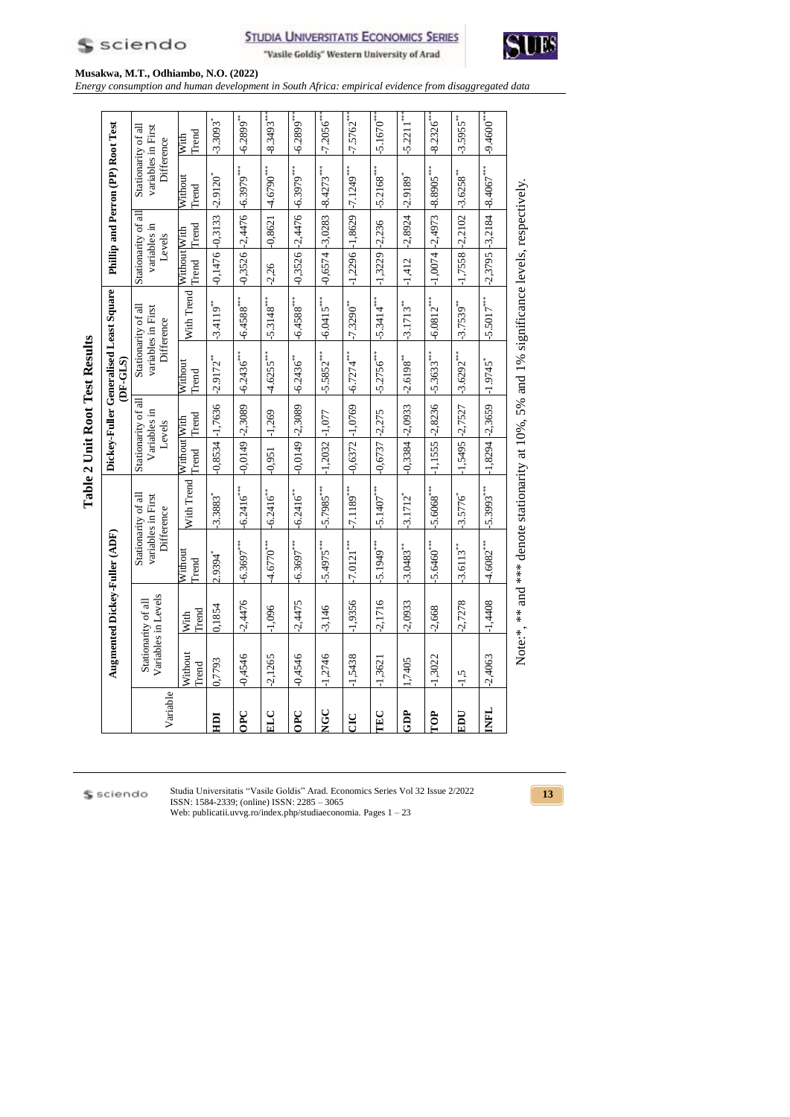

**STUDIA UNIVERSITATIS ECONOMICS SERIES** "Vasile Goldiş" Western University of Arad



**Musakwa, M.T., Odhiambo, N.O. (2022)**

*Energy consumption and human development in South Africa: empirical evidence from disaggregated data*

|             |                                            |               |                               |                                                                                            |                       |                                               | Table 2 Unit Root Test Results |                                                         |                                     |                     |                                                         |                          |
|-------------|--------------------------------------------|---------------|-------------------------------|--------------------------------------------------------------------------------------------|-----------------------|-----------------------------------------------|--------------------------------|---------------------------------------------------------|-------------------------------------|---------------------|---------------------------------------------------------|--------------------------|
|             |                                            |               | Augmented Dickey-Fuller (ADF) |                                                                                            |                       |                                               | DF-GLS)                        | Dickey-Fuller Generalised Least Square                  |                                     |                     | Phillip and Perron (PP) Root Test                       |                          |
| Variable    | Variables in Levels<br>Stationarity of all |               |                               | Stationarity of all<br>variables in First<br>Difference                                    |                       | Stationarity of all<br>Variables in<br>Levels |                                | Stationarity of all<br>variables in First<br>Difference | Stationarity of all<br>variables in | Levels              | Stationarity of all<br>variables in First<br>Difference |                          |
|             | Vithout<br><b>Trend</b>                    | Trend<br>With | Without<br>Trend              | With Trend                                                                                 | Without With<br>Trend | Trend                                         | Without<br>Trend               | With Trend                                              | Without With<br>Trend               | Trend               | Without<br>Trend                                        | Trend<br>With            |
| IOH         | 0,7793                                     | 0,1854        | 2.9394*                       | $-3.3883$ <sup>*</sup>                                                                     | $-0,8534$             | $-1,7636$                                     | $-2.9172$ **                   | $-3.4119$ <sup>***</sup>                                | $-0,1476$ $-0,3133$                 |                     | $-2.9120$ <sup>*</sup>                                  | $-3.3093$ <sup>*</sup>   |
| OPC         | 0,4546                                     | $-2,4476$     | $-6.3697***$                  | $-6.2416***$                                                                               | $-0,0149$             | $-2,3089$                                     | $-6.2436***$                   | $-6.4588***$                                            |                                     | $-0,3526$ $-2,4476$ | $+6.3979***$                                            | $-6.2899***$             |
| ELC         | $-2,1265$                                  | $-1,096$      | $-4.6770***$                  | $-6.2416^{**}$                                                                             | $-0,951$              | $-1,269$                                      | $-4.6255***$                   | $-5.3148***$                                            | $-2,26$                             | $-0,8621$           | $+4.6790***$                                            | $-8.3493***$             |
| 0PC         | $-0,4546$                                  | $-2,4475$     | $-6.3697***$                  | $-6.2416$                                                                                  | $-0.0149 - 2.3089$    |                                               | $-6.2436$                      | $-6.4588***$                                            |                                     |                     | $-0.3526 - 2.4476 - 6.3979$                             | $-6.2899***$             |
| <b>NGC</b>  | 1,2746                                     | $-3,146$      | $-5.4975$                     | $-5.7985***$                                                                               | $-1,2032$             | $-1,077$                                      | $-5.5852***$                   | $-6.0415***$                                            | $-0,6574 - 3,0283$                  |                     | $-8.4273***$                                            | $-7.2056$ <sup>***</sup> |
| <b>DE</b>   | 1,5438                                     | $-1,9356$     | $-17.0121$                    | $-17.1189***$                                                                              | $-0,6372$ $-1,0769$   |                                               | $-6.7274***$                   | $-7.3290^{***}$                                         | $-1,2296 - 1,8629$                  |                     | $-17.1249$                                              | $-7.5762***$             |
| TEC         | 1,3621                                     | $-2,1716$     | $-5.1949***$                  | $-5.1407***$                                                                               | $-0,6737$             | $-2,275$                                      | $-5.2756***$                   | $-5.3414***$                                            | $-1,3229$ $-2,236$                  |                     | $-5.2168***$                                            | $-5.1670$ <sup>***</sup> |
| GDP         | 1,7405                                     | $-2,0933$     | $-3.0483***$                  | $-3.1712$ <sup>*</sup>                                                                     | $-0,3384 - 2,0933$    |                                               | $-2.6198$                      | $-3.1713**$                                             | $-1,412$                            | $-2,8924$           | $+2.9189$                                               | $-5.2211***$             |
| TOP         | $+1,3022$                                  | $-2,668$      | $-5.6460***$                  | $-5.6068***$                                                                               | $-1,1555$             | $-2,8236$                                     | $-5.3633***$                   | $-6.0812***$                                            | $-1,0074$ $-2,4973$                 |                     | $-8.8905$                                               | $-8.2326$ **             |
| EDU         | $-1,5$                                     | $-2,7278$     | $-3.6113***$                  | $-3.5776$                                                                                  | 1,5495                | $-2,7527$                                     | $-3.6292***$                   | $-3.7539**$                                             | $-1,7558 -2,2102$                   |                     | $-3.6258$                                               | $-3.5955***$             |
| <b>THML</b> | $-2,4063$                                  | $-1,4408$     | $-4.6082***$                  | $-5.3993***$                                                                               | $-1,8294 -2,3659$     |                                               | $-1.9745$                      | $-5.5017***$                                            | $-2,3795$ $-3,2184$                 |                     | $+8.4067***$                                            | $+9.4600***$             |
|             |                                            |               |                               | Note:*, ** and *** denote stationarity at 10%, 5% and 1% significance levels, respectively |                       |                                               |                                |                                                         |                                     |                     |                                                         |                          |

\$ sciendo

Studia Universitatis "Vasile Goldis" Arad. Economics Series Vol 32 Issue 2/2022 ISSN: 1584-2339; (online) ISSN: 2285 – 3065 Web: publicatii.uvvg.ro/index.php/studiaeconomia. Pages 1 – 23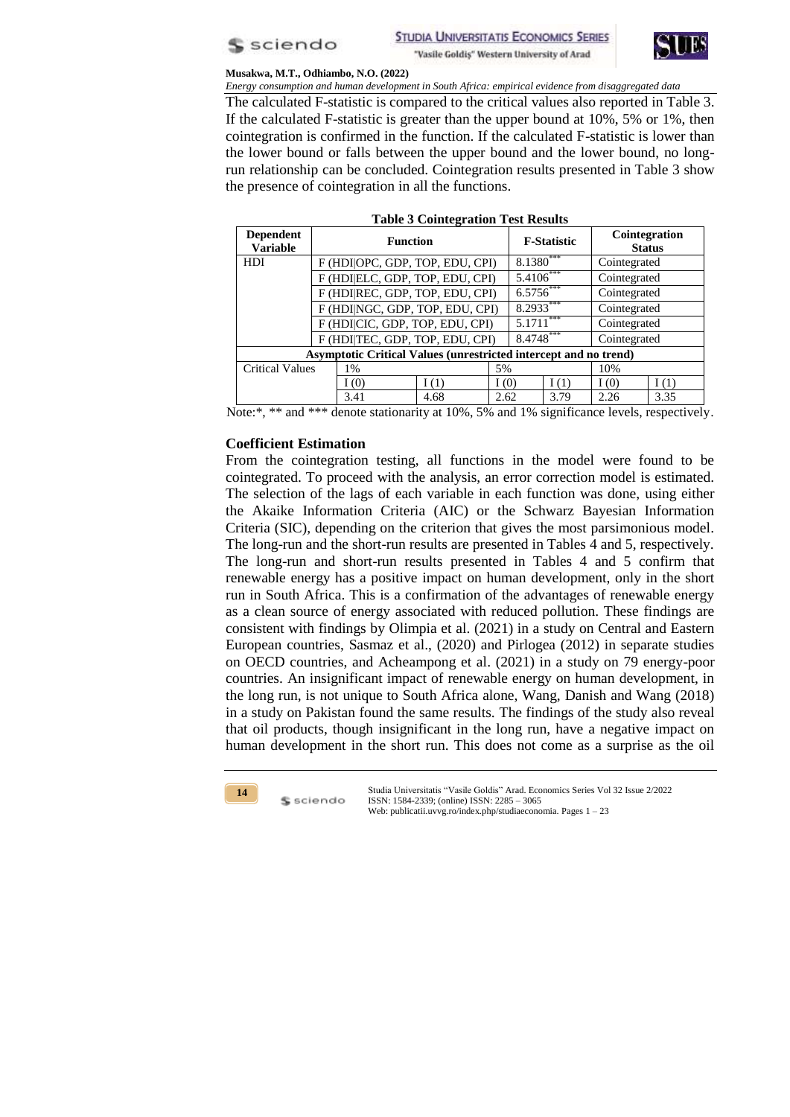



*Energy consumption and human development in South Africa: empirical evidence from disaggregated data* The calculated F-statistic is compared to the critical values also reported in Table 3. If the calculated F-statistic is greater than the upper bound at 10%, 5% or 1%, then cointegration is confirmed in the function. If the calculated F-statistic is lower than the lower bound or falls between the upper bound and the lower bound, no longrun relationship can be concluded. Cointegration results presented in Table 3 show the presence of cointegration in all the functions.

| <b>Dependent</b><br><b>Variable</b> | <b>Function</b>                                                         |         |      |             | <b>F-Statistic</b> | Cointegration<br><b>Status</b> |      |  |  |
|-------------------------------------|-------------------------------------------------------------------------|---------|------|-------------|--------------------|--------------------------------|------|--|--|
| <b>HDI</b>                          | F (HDI OPC, GDP, TOP, EDU, CPI)                                         |         |      | $8.1380***$ |                    | Cointegrated                   |      |  |  |
|                                     | F (HDIELC, GDP, TOP, EDU, CPI)                                          |         |      | 5.4106***   |                    | Cointegrated                   |      |  |  |
|                                     | F (HDIREC, GDP, TOP, EDU, CPI)                                          |         |      | $6.5756***$ |                    | Cointegrated                   |      |  |  |
|                                     | F (HDINGC, GDP, TOP, EDU, CPI)                                          |         |      | 8.2933***   |                    | Cointegrated                   |      |  |  |
|                                     | F (HDICIC, GDP, TOP, EDU, CPI)                                          |         |      | 5.1711      | ***                | Cointegrated                   |      |  |  |
|                                     | F (HDITEC, GDP, TOP, EDU, CPI)                                          |         |      | 8.4748***   |                    | Cointegrated                   |      |  |  |
|                                     | <b>Asymptotic Critical Values (unrestricted intercept and no trend)</b> |         |      |             |                    |                                |      |  |  |
| <b>Critical Values</b>              | $1\%$                                                                   |         | 5%   |             |                    | 10%                            |      |  |  |
|                                     | I(0)                                                                    | I $(1)$ | I(0) |             | I(1)               | I(0)                           | I(1) |  |  |
|                                     | 3.41                                                                    | 4.68    | 2.62 |             | 3.79               | 2.26                           | 3.35 |  |  |

|  | <b>Table 3 Cointegration Test Results</b> |  |  |
|--|-------------------------------------------|--|--|
|--|-------------------------------------------|--|--|

Note:\*, \*\* and \*\*\* denote stationarity at 10%, 5% and 1% significance levels, respectively.

# **Coefficient Estimation**

From the cointegration testing, all functions in the model were found to be cointegrated. To proceed with the analysis, an error correction model is estimated. The selection of the lags of each variable in each function was done, using either the Akaike Information Criteria (AIC) or the Schwarz Bayesian Information Criteria (SIC), depending on the criterion that gives the most parsimonious model. The long-run and the short-run results are presented in Tables 4 and 5, respectively. The long-run and short-run results presented in Tables 4 and 5 confirm that renewable energy has a positive impact on human development, only in the short run in South Africa. This is a confirmation of the advantages of renewable energy as a clean source of energy associated with reduced pollution. These findings are consistent with findings by Olimpia et al. (2021) in a study on Central and Eastern European countries, Sasmaz et al., (2020) and Pirlogea (2012) in separate studies on OECD countries, and Acheampong et al. (2021) in a study on 79 energy-poor countries. An insignificant impact of renewable energy on human development, in the long run, is not unique to South Africa alone, Wang, Danish and Wang (2018) in a study on Pakistan found the same results. The findings of the study also reveal that oil products, though insignificant in the long run, have a negative impact on human development in the short run. This does not come as a surprise as the oil

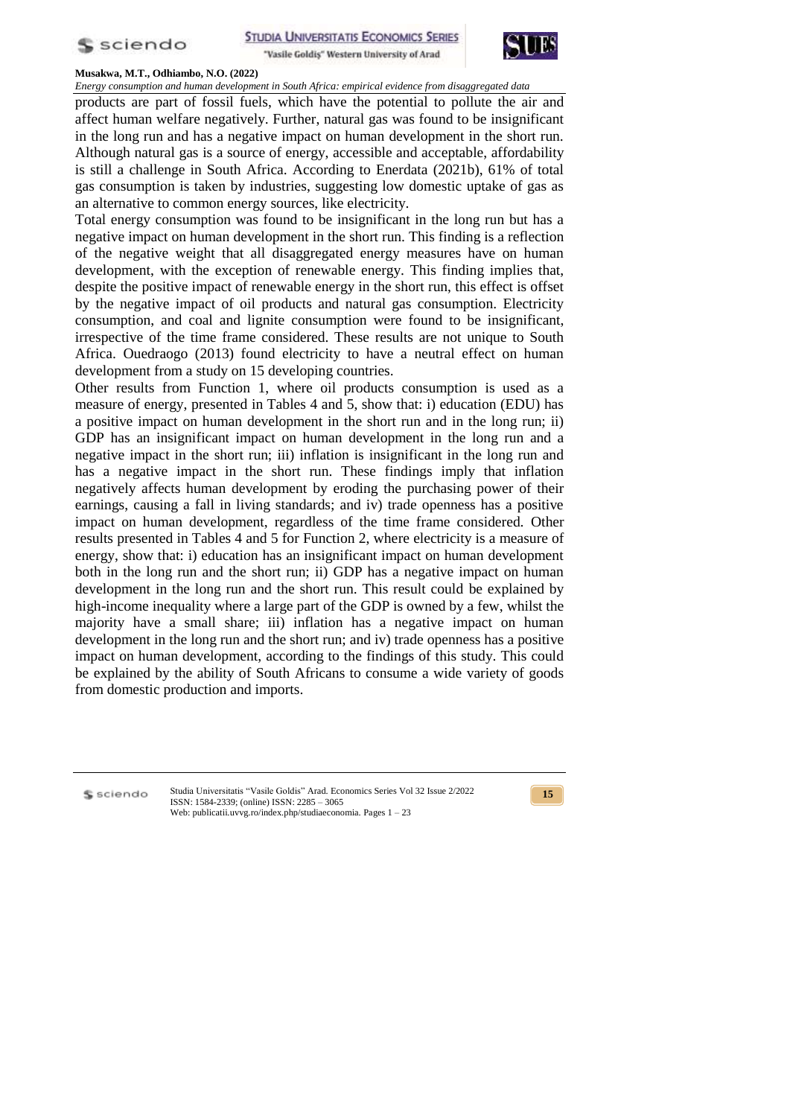



*Energy consumption and human development in South Africa: empirical evidence from disaggregated data* products are part of fossil fuels, which have the potential to pollute the air and affect human welfare negatively. Further, natural gas was found to be insignificant in the long run and has a negative impact on human development in the short run. Although natural gas is a source of energy, accessible and acceptable, affordability is still a challenge in South Africa. According to Enerdata (2021b), 61% of total gas consumption is taken by industries, suggesting low domestic uptake of gas as an alternative to common energy sources, like electricity.

Total energy consumption was found to be insignificant in the long run but has a negative impact on human development in the short run. This finding is a reflection of the negative weight that all disaggregated energy measures have on human development, with the exception of renewable energy. This finding implies that, despite the positive impact of renewable energy in the short run, this effect is offset by the negative impact of oil products and natural gas consumption. Electricity consumption, and coal and lignite consumption were found to be insignificant, irrespective of the time frame considered. These results are not unique to South Africa. Ouedraogo (2013) found electricity to have a neutral effect on human development from a study on 15 developing countries.

Other results from Function 1, where oil products consumption is used as a measure of energy, presented in Tables 4 and 5, show that: i) education (EDU) has a positive impact on human development in the short run and in the long run; ii) GDP has an insignificant impact on human development in the long run and a negative impact in the short run; iii) inflation is insignificant in the long run and has a negative impact in the short run. These findings imply that inflation negatively affects human development by eroding the purchasing power of their earnings, causing a fall in living standards; and iv) trade openness has a positive impact on human development, regardless of the time frame considered. Other results presented in Tables 4 and 5 for Function 2, where electricity is a measure of energy, show that: i) education has an insignificant impact on human development both in the long run and the short run; ii) GDP has a negative impact on human development in the long run and the short run. This result could be explained by high-income inequality where a large part of the GDP is owned by a few, whilst the majority have a small share; iii) inflation has a negative impact on human development in the long run and the short run; and iv) trade openness has a positive impact on human development, according to the findings of this study. This could be explained by the ability of South Africans to consume a wide variety of goods from domestic production and imports.

S sciendo

Studia Universitatis "Vasile Goldis" Arad. Economics Series Vol 32 Issue 2/2022 ISSN: 1584-2339; (online) ISSN: 2285 – 3065 Web: publicatii.uvvg.ro/index.php/studiaeconomia. Pages 1 – 23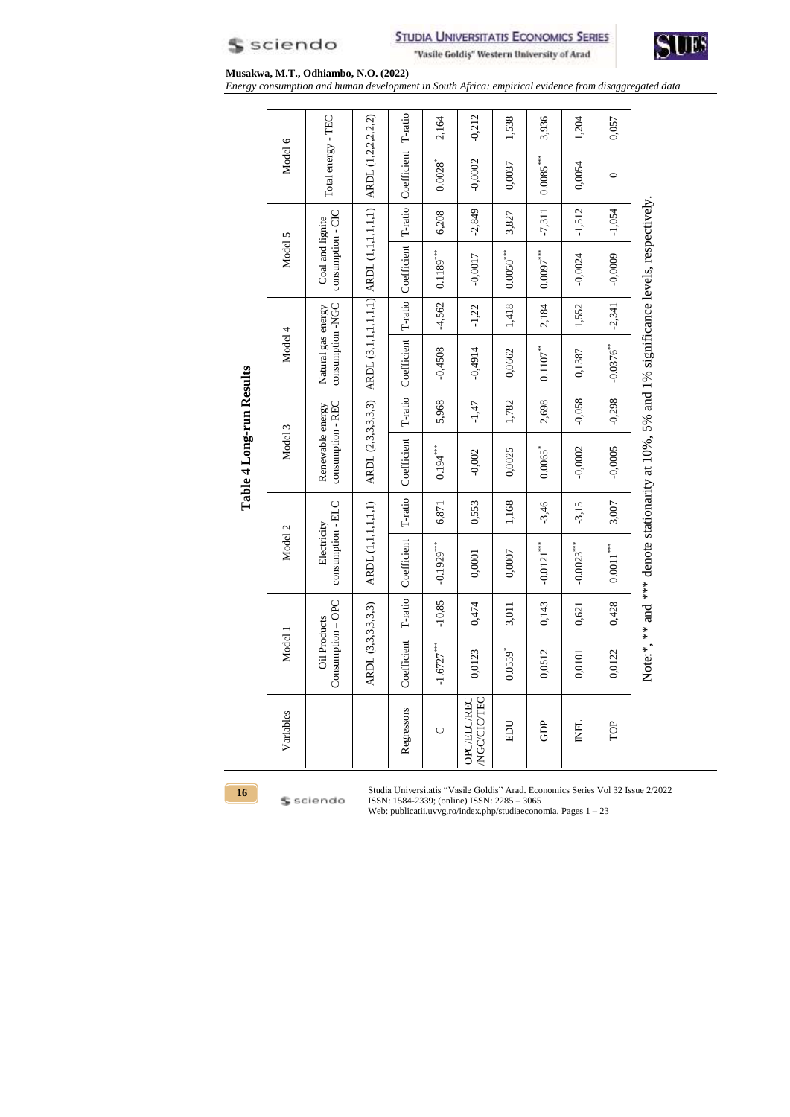



*Energy consumption and human development in South Africa: empirical evidence from disaggregated data*

|                          | Model 6<br>Model 5 | Total energy - TEC<br>consumption - CIC<br>Coal and lignite | $ $ ARDL (3,1,1,1,1,1,1) $ $ ARDL (1,1,1,1,1,1) $ $ ARDL (1,2,2,2,2,2) | T-ratio Coefficient T-ratio Coefficient T-ratio Coefficient T-ratio | 2,164<br>$0.0028$ <sup>*</sup><br>6,208<br>$0.1189***$ | $-0,212$<br>$-0,0002$<br>$-2,849$<br>$-0,0017$                              | 1,538<br>0,0037<br>3,827<br>$0.0050***$ | 3,936<br>$0.0085***$<br>$-7,311$<br>$0.0097***$ | 1,204<br>0,0054<br>$-1,512$<br>$-0,0024$ | 0,057<br>$\circ$<br>$-1,054$<br>$-0,0009$ |                                                                                             |
|--------------------------|--------------------|-------------------------------------------------------------|------------------------------------------------------------------------|---------------------------------------------------------------------|--------------------------------------------------------|-----------------------------------------------------------------------------|-----------------------------------------|-------------------------------------------------|------------------------------------------|-------------------------------------------|---------------------------------------------------------------------------------------------|
|                          | Model 4            | consumption -NGC<br>Natural gas energy                      |                                                                        |                                                                     | $-4,562$<br>$-0,4508$                                  | $-1,22$<br>$-0,4914$                                                        | 1,418<br>0,0662                         | 2,184<br>$0.1107***$                            | 1,552<br>0,1387                          | $-2,341$<br>$-0.0376$ **                  |                                                                                             |
| Table 4 Long-run Results | Model 3            | consumption - REC<br>Renewable energy                       | ARDL (2,3,3,3,3,3)                                                     | Coefficient                                                         | 5,968<br>$0.194***$                                    | $-1,47$<br>$-0,002$                                                         | 1,782<br>0,0025                         | 2,698<br>$0.0065$ <sup>*</sup>                  | $-0,058$<br>$-0,0002$                    | $-0,298$<br>$-0,0005$                     |                                                                                             |
|                          | Model 2            | consumption - ELC<br>Electricity                            | ARDL (1,1,1,1,1,1)                                                     | T-ratio<br>Coefficient                                              | 6,871<br>$-0.1929***$                                  | 0,553<br>0,0001                                                             | 1,168<br>0,0007                         | $-3,46$<br>$-0.0121***$                         | $-3,15$<br>$-0.0023***$                  | 3,007<br>$0.0011***$                      | Note:*, ** and *** denote stationarity at 10%, 5% and 1% significance levels, respectively. |
|                          | Model 1            | Consumption - OPC<br><b>Oil Products</b>                    | ARDL (3,3,3,3,3)                                                       | T-ratio<br>Coefficient                                              | $-10,85$<br>$-1.6727***$                               | 0,474<br>0,0123                                                             | 3,011<br>0.0559                         | 0,143<br>0,0512                                 | 0,621<br>0,0101                          | 0,428<br>0,0122                           |                                                                                             |
| 16                       | Variables          |                                                             |                                                                        | Regressors<br>Studia Universitatis                                  | Ō                                                      | NGC/CIC/TEC<br><b>OPC/ELC/REC</b><br>"Vasile Goldis" Arad. Economics Series | EDU                                     | GDP                                             | <b>INFL</b>                              | TOP<br>Vol 32 Issue                       |                                                                                             |



\$ sciendo

Studia Universitatis "Vasile Goldis" Arad. Economics Series Vol 32 Issue 2/2022 ISSN: 1584-2339; (online) ISSN: 2285 – 3065

Web: publicatii.uvvg.ro/index.php/studiaeconomia. Pages 1 – 23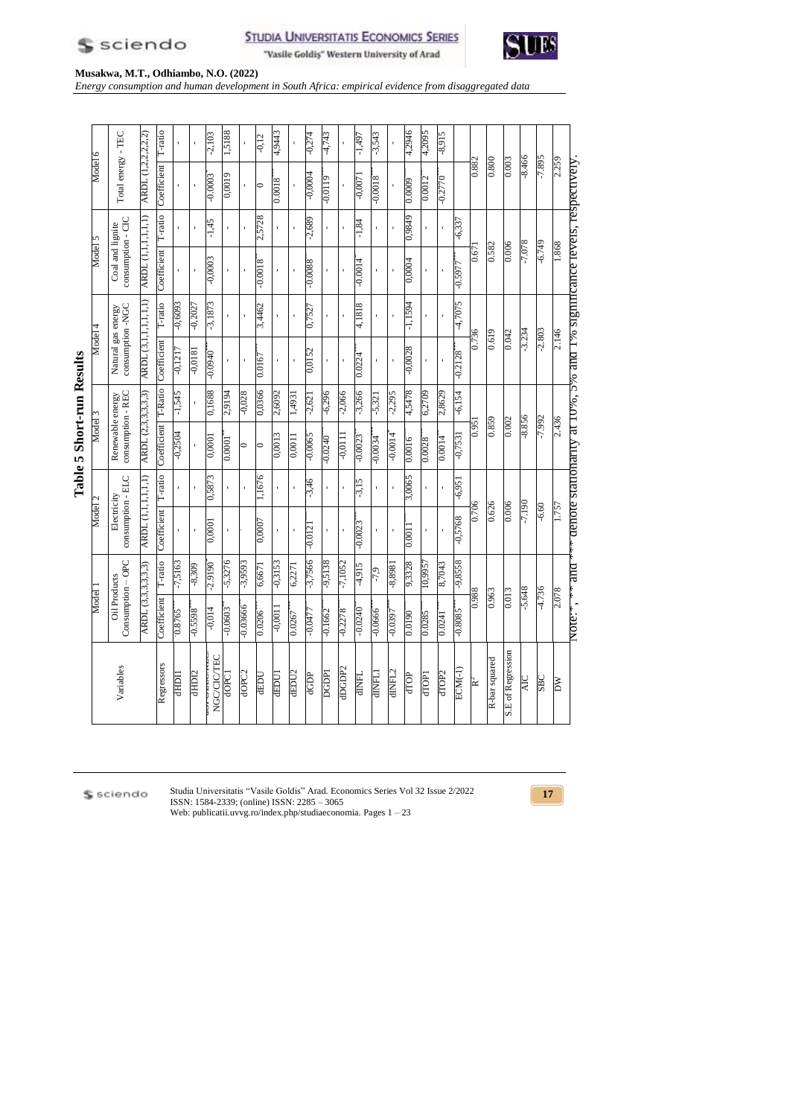|          |                                        |                             | T-ratio     |           |                   | $-2,103$           | 1,5188      |                   | $-0,12$     | 4,9443    |        | $+12.0-$       | $-4,743$     |           | -1,497       | $-3,543$      |              | 4,2946    | 4,2095  | $-8,915$          |            |       |               |                          |            |            |
|----------|----------------------------------------|-----------------------------|-------------|-----------|-------------------|--------------------|-------------|-------------------|-------------|-----------|--------|----------------|--------------|-----------|--------------|---------------|--------------|-----------|---------|-------------------|------------|-------|---------------|--------------------------|------------|------------|
| Model 6  | Total energy - TEC                     | ARDL (1,2,2,2,2)            | Coefficient |           |                   | $-0.0003$          | 0,0019      |                   | $\circ$     | 8100.0    |        | <b>7000'0-</b> | 6110.0-      |           | -0,0071      | 8100.0-       |              | 0.0009    | 0.0012  | 0.7770            |            | 0.882 | 0.800         | 0.003                    | $-8.466$   | $-7.895$   |
|          |                                        |                             | T-ratio     |           |                   | $-1,45$            |             |                   | 2,5728      |           |        | $-2,689$       |              |           | $-1,84$      |               |              | 6786'0    |         |                   | $-6,337$   |       |               |                          |            |            |
| Model 5  | consumption - CIC<br>Coal and lignite  | <b>ARDL</b> (1, 1, 1, 1, 1) | Coefficient |           |                   | $-0,0003$          |             |                   | $8100^{0}$  |           |        | $-0.0088$      |              |           | $-0.0014$    |               |              | 0,0004    |         |                   | -0.5977    | 0.671 | 0.582         | 0.006                    | $-7.078$   | $-6.749$   |
|          |                                        |                             | T-ratio     | £609'0-   | $-0,2027$         | $-3,1873$          |             |                   | 3,4462      |           |        | 0,7527         |              |           | 4,1818       |               |              | $-1,1594$ |         |                   | $-4,7075$  |       |               |                          |            |            |
| Model 4  | Natural gas energy<br>consumption -NGC | ARDL (3,1,1,1,1,1,1)        | Coefficient | $-0,1217$ | 1810'0-           | $-0.0940$          |             |                   | 0.0167      |           |        | 0,0152         |              |           | 0.0224       |               |              | $-0,0028$ |         |                   | $-0.2128$  | 0.736 | 0.619         | 0.042                    | $-3.234$   | $-2.803$   |
|          |                                        |                             | T-Ratio     | $-1,545$  |                   | 0,1688             | 2,9194      | $-0,028$          | 0,0366      | 2,6092    | 1.4931 | $-2,621$       | $-6,296$     | $-2,066$  | $-3,266$     | $-5,321$      | $-2,295$     | 4,5478    | 6,2709  | 2,8629            | $-6,154$   |       |               |                          |            |            |
| Model 3  | Renewable energy<br>consumption - REC  | ARDL (2,3,3,3,3)            | Coefficient | $-0,2504$ |                   | 1000'0             | 0.0001      | $\circ$           | $\circ$     | 0,0013    | 0,001  | $-0.0065$      | 0.0240       | $-0,0111$ | $-0.0023$    | $-0.0034$     | +1000-       | 0.0016    | 0.0028  | 0.0014            | $-0,7531$  | 1951  | 0.859         | 0.002                    | $-8.856$   | $-7.992$   |
|          |                                        |                             | T-ratio     |           |                   | 0,5873             |             |                   | 1,1676      |           |        | $-3,46$        |              |           | $-3,15$      |               |              | 3,0065    |         |                   | $-6,951$   |       |               |                          |            |            |
| Model 2  | consumption - ELC<br>Electricity       | <b>ARDL</b> (1,1,1,1,1)     | Coefficient |           |                   | 1000'0             |             |                   | 0,0007      |           |        | $-0.0121$      |              |           | $-0.0023$    |               |              | 0.0011    |         |                   | $-0,5768$  | 0.706 | 0.626         | 0.006                    | $-7.190$   | $-6.60$    |
|          |                                        |                             | T-ratio     | $-7,5163$ | $-8,309$          | $-2.9190$          | $-5,3276$   | $-3,9593$         | 6,6671      | $-0,3153$ | 6,2271 | $-3,7566$      | 8815'6-      | $-7,1052$ | $-4,915$     | $-7,9$        | $-8,8981$    | 9,3328    | 10,9957 | 8,7043            | $8558,6$ - |       |               |                          |            |            |
| I ləpojy | Consumption - OPC<br>Oil Products      | ARDL (3,3,3,3,3)            | Coefficient | 0.8765    | $-0.5598$         | $+10,0-$           | £090'0-     | $-0.03666$        | 0.0206      | $-0,0011$ | 0.0267 | $-0.0477$      | $-0.1662$    | $-0.2278$ | 0.0240       | $-0.0666$     | $-0.0397$    | 0.0190    | 0.0285  | 1720.0            | S808'0-    | 886.0 | £96'0         | 0.013                    | $-5.648$   | $-4.736$   |
|          | Variables                              |                             | Regressors  | 耳耳        | dHD <sub>12</sub> | <b>NGC/CIC/TEC</b> | <b>LOBO</b> | dOPC <sub>2</sub> | <b>OCED</b> | dEDU1     | dEDU2  | dGDP           | <b>DGDP1</b> | dDGDP2    | <b>THNIP</b> | <b>LTANIP</b> | <b>GLAID</b> | dTOP      | dTOP1   | dTOP <sub>2</sub> | $ECM(-1)$  | Ř     | R-bar squared | <b>S.E of Regression</b> | <b>AIC</b> | <b>SBC</b> |

**Table 5 Short-run Results Table 5 Short-run Results** 

\$ sciendo

Studia Universitatis "Vasile Goldis" Arad. Economics Series Vol 32 Issue 2/2022 ISSN: 1584-2339; (online) ISSN: 2285 – 3065 Web: publicatii.uvvg.ro/index.php/studiaeconomia. Pages 1 – 23





2.259

1.868

2.146

2.436

1.757

2.078

and  $\ddot{\epsilon}$ 

Note: $\cdot$ 

DW

Note: $\gamma$ ,  $\gamma$  and  $\gamma$  denote stationarity at 10%,  $5\%$  and 1% significance levels, respectively.

denote stationarity at  $10\%$ ,  $5\%$  and  $1\%$  significance levels, respectively



**Musakwa, M.T., Odhiambo, N.O. (2022)**

-2,103 1,5188

*Energy consumption and human development in South Africa: empirical evidence from disaggregated data*

-0,27 -4,743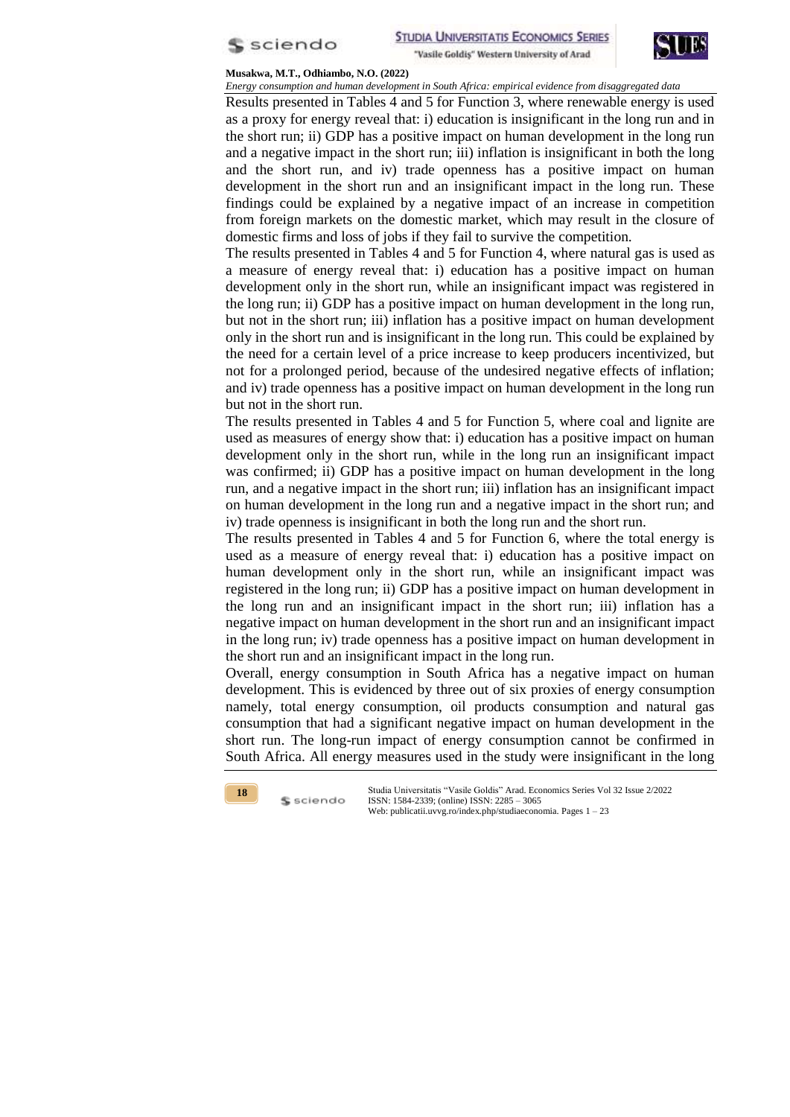



*Energy consumption and human development in South Africa: empirical evidence from disaggregated data* Results presented in Tables 4 and 5 for Function 3, where renewable energy is used as a proxy for energy reveal that: i) education is insignificant in the long run and in the short run; ii) GDP has a positive impact on human development in the long run and a negative impact in the short run; iii) inflation is insignificant in both the long and the short run, and iv) trade openness has a positive impact on human development in the short run and an insignificant impact in the long run. These findings could be explained by a negative impact of an increase in competition from foreign markets on the domestic market, which may result in the closure of domestic firms and loss of jobs if they fail to survive the competition.

The results presented in Tables 4 and 5 for Function 4, where natural gas is used as a measure of energy reveal that: i) education has a positive impact on human development only in the short run, while an insignificant impact was registered in the long run; ii) GDP has a positive impact on human development in the long run, but not in the short run; iii) inflation has a positive impact on human development only in the short run and is insignificant in the long run. This could be explained by the need for a certain level of a price increase to keep producers incentivized, but not for a prolonged period, because of the undesired negative effects of inflation; and iv) trade openness has a positive impact on human development in the long run but not in the short run.

The results presented in Tables 4 and 5 for Function 5, where coal and lignite are used as measures of energy show that: i) education has a positive impact on human development only in the short run, while in the long run an insignificant impact was confirmed; ii) GDP has a positive impact on human development in the long run, and a negative impact in the short run; iii) inflation has an insignificant impact on human development in the long run and a negative impact in the short run; and iv) trade openness is insignificant in both the long run and the short run.

The results presented in Tables 4 and 5 for Function 6, where the total energy is used as a measure of energy reveal that: i) education has a positive impact on human development only in the short run, while an insignificant impact was registered in the long run; ii) GDP has a positive impact on human development in the long run and an insignificant impact in the short run; iii) inflation has a negative impact on human development in the short run and an insignificant impact in the long run; iv) trade openness has a positive impact on human development in the short run and an insignificant impact in the long run.

Overall, energy consumption in South Africa has a negative impact on human development. This is evidenced by three out of six proxies of energy consumption namely, total energy consumption, oil products consumption and natural gas consumption that had a significant negative impact on human development in the short run. The long-run impact of energy consumption cannot be confirmed in South Africa. All energy measures used in the study were insignificant in the long



S sciendo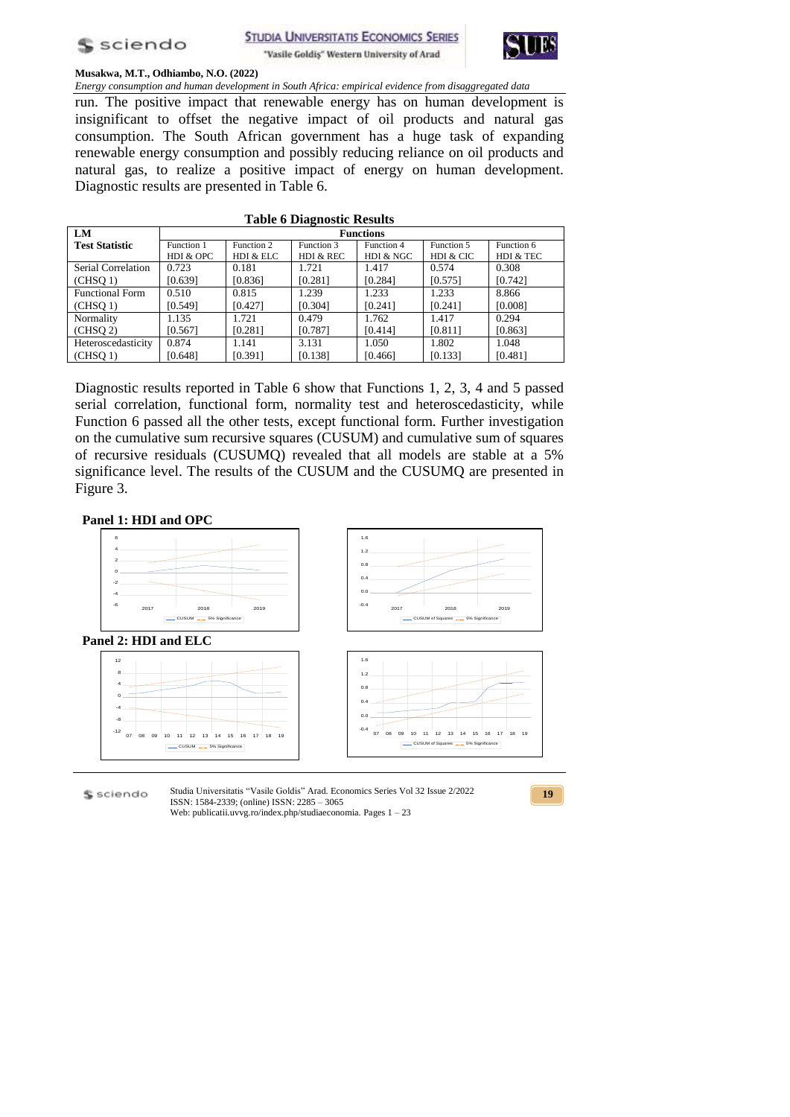



*Energy consumption and human development in South Africa: empirical evidence from disaggregated data* run. The positive impact that renewable energy has on human development is insignificant to offset the negative impact of oil products and natural gas consumption. The South African government has a huge task of expanding renewable energy consumption and possibly reducing reliance on oil products and natural gas, to realize a positive impact of energy on human development. Diagnostic results are presented in Table 6.

| LM                     |            |            |            | <b>Functions</b> |            |            |
|------------------------|------------|------------|------------|------------------|------------|------------|
| <b>Test Statistic</b>  | Function 1 | Function 2 | Function 3 | Function 4       | Function 5 | Function 6 |
|                        | HDI & OPC  | HDI & ELC  | HDI & REC  | HDI & NGC        | HDI & CIC  | HDI & TEC  |
| Serial Correlation     | 0.723      | 0.181      | 1.721      | 1.417            | 0.574      | 0.308      |
| (CHSO 1)               | [0.639]    | [0.836]    | [0.281]    | [0.284]          | [0.575]    | [0.742]    |
| <b>Functional Form</b> | 0.510      | 0.815      | 1.239      | 1.233            | 1.233      | 8.866      |
| (CHSO 1)               | [0.549]    | [0.427]    | [0.304]    | [0.241]          | [0.241]    | [0.008]    |
| Normality              | 1.135      | 1.721      | 0.479      | 1.762            | 1.417      | 0.294      |
| (CHSO 2)               | [0.567]    | [0.281]    | [0.787]    | [0.414]          | [0.811]    | [0.863]    |
| Heteroscedasticity     | 0.874      | 1.141      | 3.131      | 1.050            | 1.802      | 1.048      |
| (CHSQ 1)               | [0.648]    | [0.391]    | [0.138]    | [0.466]          | [0.133]    | [0.481]    |
|                        |            |            |            |                  |            |            |

# **Table 6 Diagnostic Results**

Diagnostic results reported in Table 6 show that Functions 1, 2, 3, 4 and 5 passed serial correlation, functional form, normality test and heteroscedasticity, while Function 6 passed all the other tests, except functional form. Further investigation on the cumulative sum recursive squares (CUSUM) and cumulative sum of squares of recursive residuals (CUSUMQ) revealed that all models are stable at a 5% significance level. The results of the CUSUM and the CUSUMQ are presented in Figure 3.

# **Panel 1: HDI and OPC**



Studia Universitatis "Vasile Goldis" Arad. Economics Series Vol 32 Issue 2/2022 S sciendo ISSN: 1584-2339; (online) ISSN: 2285 – 3065 Web: publicatii.uvvg.ro/index.php/studiaeconomia. Pages 1 – 23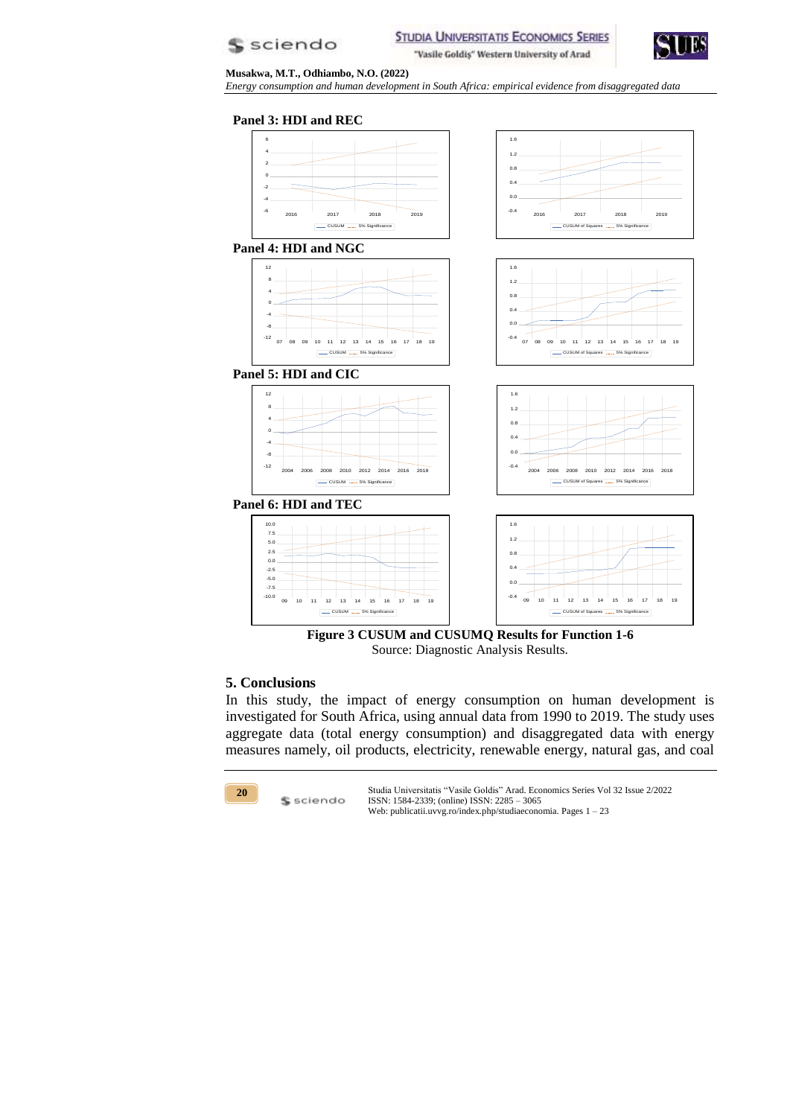



*Energy consumption and human development in South Africa: empirical evidence from disaggregated data*

#### **Panel 3: HDI and REC**





### **5. Conclusions**

In this study, the impact of energy consumption on human development is investigated for South Africa, using annual data from 1990 to 2019. The study uses aggregate data (total energy consumption) and disaggregated data with energy measures namely, oil products, electricity, renewable energy, natural gas, and coal



\$ sciendo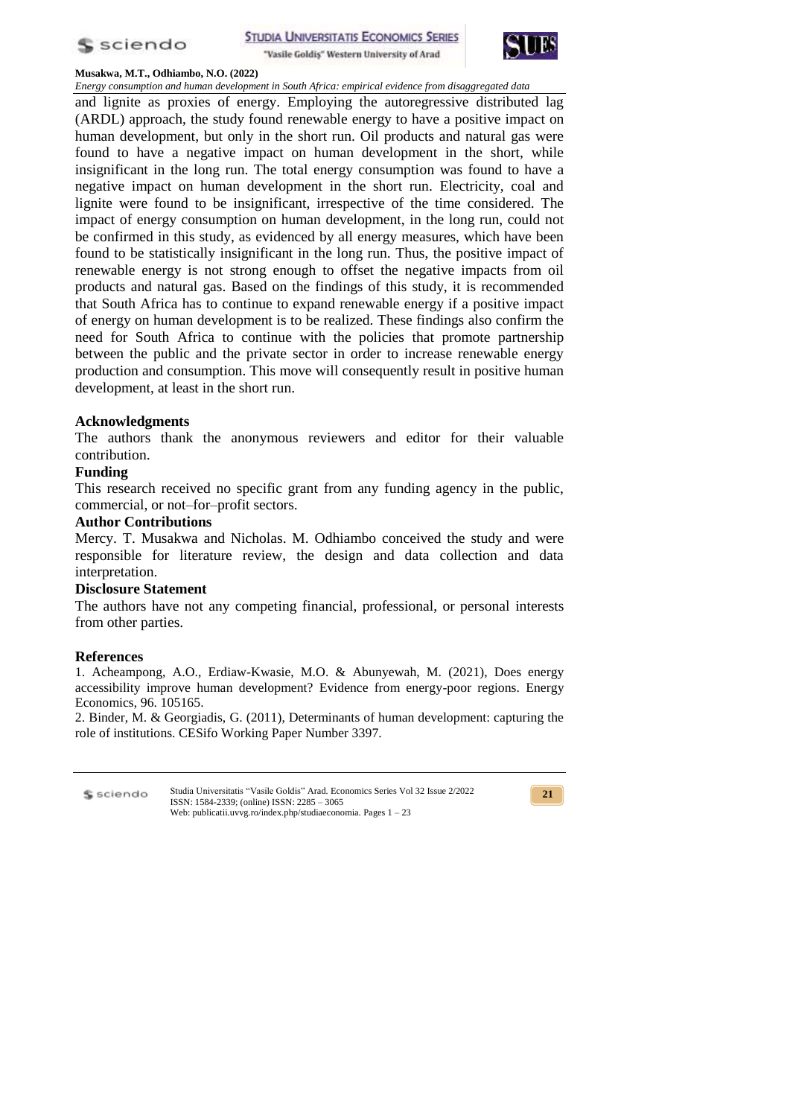



*Energy consumption and human development in South Africa: empirical evidence from disaggregated data* and lignite as proxies of energy. Employing the autoregressive distributed lag (ARDL) approach, the study found renewable energy to have a positive impact on human development, but only in the short run. Oil products and natural gas were found to have a negative impact on human development in the short, while insignificant in the long run. The total energy consumption was found to have a negative impact on human development in the short run. Electricity, coal and lignite were found to be insignificant, irrespective of the time considered. The impact of energy consumption on human development, in the long run, could not be confirmed in this study, as evidenced by all energy measures, which have been found to be statistically insignificant in the long run. Thus, the positive impact of renewable energy is not strong enough to offset the negative impacts from oil products and natural gas. Based on the findings of this study, it is recommended that South Africa has to continue to expand renewable energy if a positive impact of energy on human development is to be realized. These findings also confirm the need for South Africa to continue with the policies that promote partnership between the public and the private sector in order to increase renewable energy production and consumption. This move will consequently result in positive human development, at least in the short run.

## **Acknowledgments**

The authors thank the anonymous reviewers and editor for their valuable contribution.

## **Funding**

This research received no specific grant from any funding agency in the public, commercial, or not–for–profit sectors.

### **Author Contributions**

Mercy. T. Musakwa and Nicholas. M. Odhiambo conceived the study and were responsible for literature review, the design and data collection and data interpretation.

## **Disclosure Statement**

The authors have not any competing financial, professional, or personal interests from other parties.

#### **References**

1. Acheampong, A.O., Erdiaw-Kwasie, M.O. & Abunyewah, M. (2021), Does energy accessibility improve human development? Evidence from energy-poor regions. Energy Economics, 96. 105165.

2. Binder, M. & Georgiadis, G. (2011), Determinants of human development: capturing the role of institutions. CESifo Working Paper Number 3397.

| $$$ sciendo | Studia Universitatis "Vasile Goldis" Arad. Economics Series Vol 32 Issue 2/2022<br>ISSN: 1584-2339; (online) ISSN: 2285 – 3065 |
|-------------|--------------------------------------------------------------------------------------------------------------------------------|
|             | Web: publicatii.uvvg.ro/index.php/studiaeconomia. Pages $1 - 23$                                                               |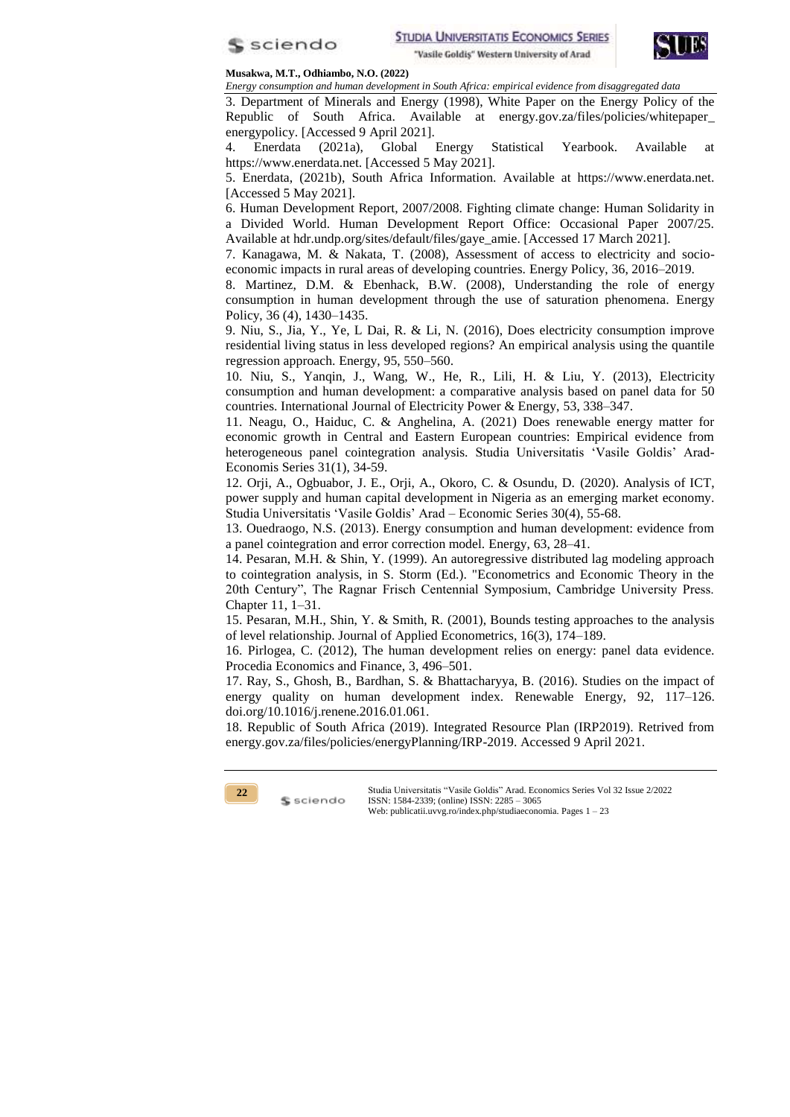



*Energy consumption and human development in South Africa: empirical evidence from disaggregated data*

3. Department of Minerals and Energy (1998), White Paper on the Energy Policy of the Republic of South Africa. Available at energy.gov.za/files/policies/whitepaper\_ energypolicy. [Accessed 9 April 2021].

4. Enerdata (2021a), Global Energy Statistical Yearbook. Available at https://www.enerdata.net. [Accessed 5 May 2021].

5. Enerdata, (2021b), South Africa Information. Available at https://www.enerdata.net. [Accessed 5 May 2021].

6. Human Development Report, 2007/2008. Fighting climate change: Human Solidarity in a Divided World. Human Development Report Office: Occasional Paper 2007/25. Available at hdr.undp.org/sites/default/files/gaye\_amie. [Accessed 17 March 2021].

7. Kanagawa, M. & Nakata, T. (2008), Assessment of access to electricity and socioeconomic impacts in rural areas of developing countries. Energy Policy, 36, 2016–2019.

8. Martinez, D.M. & Ebenhack, B.W. (2008), Understanding the role of energy consumption in human development through the use of saturation phenomena. Energy Policy, 36 (4), 1430–1435.

9. Niu, S., Jia, Y., Ye, L Dai, R. & Li, N. (2016), Does electricity consumption improve residential living status in less developed regions? An empirical analysis using the quantile regression approach. Energy, 95, 550–560.

10. Niu, S., Yanqin, J., Wang, W., He, R., Lili, H. & Liu, Y. (2013), Electricity consumption and human development: a comparative analysis based on panel data for 50 countries. International Journal of Electricity Power & Energy, 53, 338–347.

11. Neagu, O., Haiduc, C. & Anghelina, A. (2021) Does renewable energy matter for economic growth in Central and Eastern European countries: Empirical evidence from heterogeneous panel cointegration analysis. Studia Universitatis 'Vasile Goldis' Arad-Economis Series 31(1), 34-59.

12. Orji, A., Ogbuabor, J. E., Orji, A., Okoro, C. & Osundu, D. (2020). Analysis of ICT, power supply and human capital development in Nigeria as an emerging market economy. Studia Universitatis 'Vasile Goldis' Arad – Economic Series 30(4), 55-68.

13. Ouedraogo, N.S. (2013). Energy consumption and human development: evidence from a panel cointegration and error correction model. Energy, 63, 28–41.

14. Pesaran, M.H. & Shin, Y. (1999). An autoregressive distributed lag modeling approach to cointegration analysis, in S. Storm (Ed.). "Econometrics and Economic Theory in the 20th Century", The Ragnar Frisch Centennial Symposium, Cambridge University Press. Chapter 11, 1–31.

15. Pesaran, M.H., Shin, Y. & Smith, R. (2001), Bounds testing approaches to the analysis of level relationship. Journal of Applied Econometrics, 16(3), 174–189.

16. Pirlogea, C. (2012), The human development relies on energy: panel data evidence. Procedia Economics and Finance, 3, 496–501.

17. Ray, S., Ghosh, B., Bardhan, S. & Bhattacharyya, B. (2016). Studies on the impact of energy quality on human development index. Renewable Energy, 92, 117–126. doi.org/10.1016/j.renene.2016.01.061.

18. Republic of South Africa (2019). Integrated Resource Plan (IRP2019). Retrived from energy.gov.za/files/policies/energyPlanning/IRP-2019. Accessed 9 April 2021.